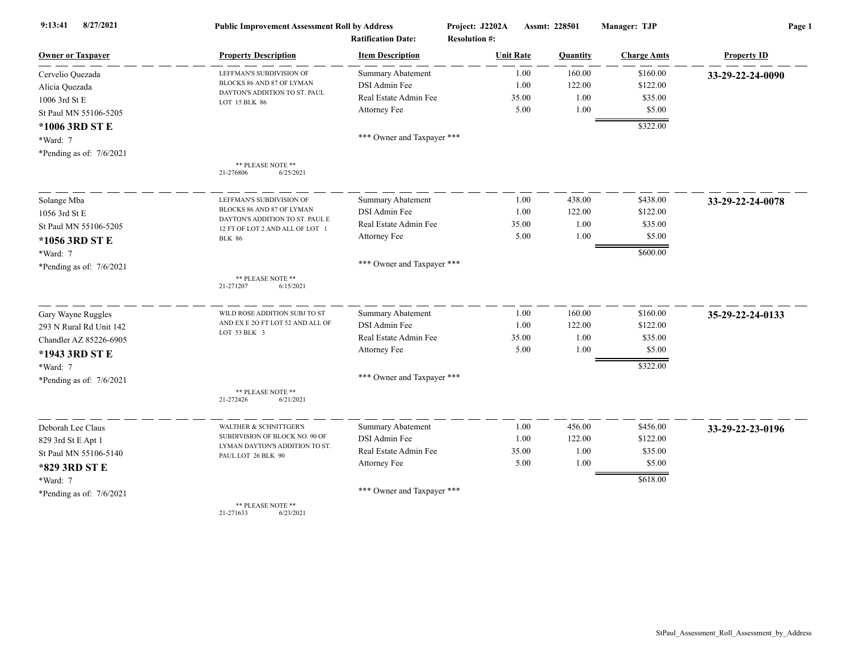| 8/27/2021<br>9:13:41       | <b>Public Improvement Assessment Roll by Address</b><br><b>Ratification Date:</b> |                            | Project: J2202A<br><b>Resolution #:</b> | Assmt: 228501 | Manager: TJP       | Page 1             |  |
|----------------------------|-----------------------------------------------------------------------------------|----------------------------|-----------------------------------------|---------------|--------------------|--------------------|--|
| <b>Owner or Taxpayer</b>   | <b>Property Description</b>                                                       | <b>Item Description</b>    | <b>Unit Rate</b>                        | Quantity      | <b>Charge Amts</b> | <b>Property ID</b> |  |
| Cervelio Quezada           | LEFFMAN'S SUBDIVISION OF                                                          | <b>Summary Abatement</b>   | 1.00                                    | 160.00        | \$160.00           | 33-29-22-24-0090   |  |
| Alicia Quezada             | BLOCKS 86 AND 87 OF LYMAN                                                         | DSI Admin Fee              | 1.00                                    | 122.00        | \$122.00           |                    |  |
| 1006 3rd St E              | DAYTON'S ADDITION TO ST. PAUL<br>LOT 15 BLK 86                                    | Real Estate Admin Fee      | 35.00                                   | 1.00          | \$35.00            |                    |  |
| St Paul MN 55106-5205      |                                                                                   | Attorney Fee               | 5.00                                    | 1.00          | \$5.00             |                    |  |
| *1006 3RD ST E             |                                                                                   |                            |                                         |               | \$322.00           |                    |  |
| *Ward: 7                   |                                                                                   | *** Owner and Taxpayer *** |                                         |               |                    |                    |  |
| *Pending as of: $7/6/2021$ |                                                                                   |                            |                                         |               |                    |                    |  |
|                            | ** PLEASE NOTE **<br>6/25/2021<br>21-276806                                       |                            |                                         |               |                    |                    |  |
| Solange Mba                | LEFFMAN'S SUBDIVISION OF                                                          | <b>Summary Abatement</b>   | 1.00                                    | 438.00        | \$438.00           | 33-29-22-24-0078   |  |
| 1056 3rd St E              | BLOCKS 86 AND 87 OF LYMAN                                                         | DSI Admin Fee              | 1.00                                    | 122.00        | \$122.00           |                    |  |
| St Paul MN 55106-5205      | DAYTON'S ADDITION TO ST. PAUL E<br>12 FT OF LOT 2 AND ALL OF LOT 1                | Real Estate Admin Fee      | 35.00                                   | 1.00          | \$35.00            |                    |  |
| *1056 3RD ST E             | <b>BLK 86</b>                                                                     | Attorney Fee               | 5.00                                    | 1.00          | \$5.00             |                    |  |
| *Ward: 7                   |                                                                                   |                            |                                         |               | \$600.00           |                    |  |
| *Pending as of: 7/6/2021   |                                                                                   | *** Owner and Taxpayer *** |                                         |               |                    |                    |  |
|                            | ** PLEASE NOTE **<br>21-271207<br>6/15/2021                                       |                            |                                         |               |                    |                    |  |
| Gary Wayne Ruggles         | WILD ROSE ADDITION SUBJ TO ST                                                     | <b>Summary Abatement</b>   | 1.00                                    | 160.00        | \$160.00           | 35-29-22-24-0133   |  |
| 293 N Rural Rd Unit 142    | AND EX E 2O FT LOT 52 AND ALL OF<br>LOT 53 BLK 3                                  | DSI Admin Fee              | 1.00                                    | 122.00        | \$122.00           |                    |  |
| Chandler AZ 85226-6905     |                                                                                   | Real Estate Admin Fee      | 35.00                                   | 1.00          | \$35.00            |                    |  |
| *1943 3RD ST E             |                                                                                   | Attorney Fee               | 5.00                                    | 1.00          | \$5.00             |                    |  |
| *Ward: 7                   |                                                                                   |                            |                                         |               | \$322.00           |                    |  |
| *Pending as of: $7/6/2021$ |                                                                                   | *** Owner and Taxpayer *** |                                         |               |                    |                    |  |
|                            | ** PLEASE NOTE **<br>21-272426<br>6/21/2021                                       |                            |                                         |               |                    |                    |  |
| Deborah Lee Claus          | WALTHER & SCHNITTGER'S                                                            | <b>Summary Abatement</b>   | 1.00                                    | 456.00        | \$456.00           | 33-29-22-23-0196   |  |
| 829 3rd St E Apt 1         | SUBDIVISION OF BLOCK NO. 90 OF                                                    | DSI Admin Fee              | 1.00                                    | 122.00        | \$122.00           |                    |  |
| St Paul MN 55106-5140      | LYMAN DAYTON'S ADDITION TO ST.<br>PAUL LOT 26 BLK 90                              | Real Estate Admin Fee      | 35.00                                   | 1.00          | \$35.00            |                    |  |
| *829 3RD ST E              |                                                                                   | Attorney Fee               | 5.00                                    | 1.00          | \$5.00             |                    |  |
| *Ward: 7                   |                                                                                   |                            |                                         |               | \$618.00           |                    |  |
| *Pending as of: 7/6/2021   |                                                                                   | *** Owner and Taxpayer *** |                                         |               |                    |                    |  |
|                            | ** PLEASE NOTE **<br>21-271633<br>6/23/2021                                       |                            |                                         |               |                    |                    |  |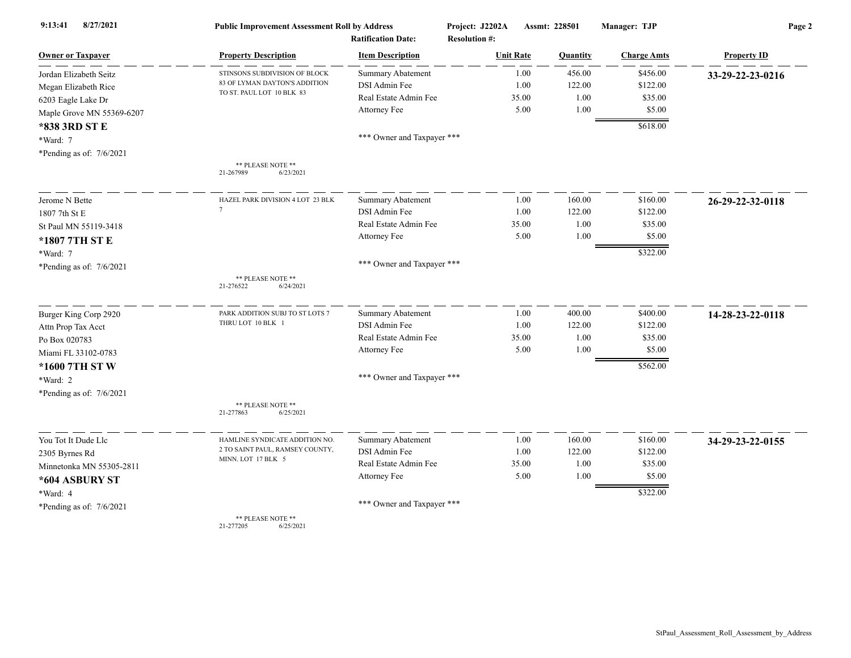| 8/27/2021<br>9:13:41       | <b>Public Improvement Assessment Roll by Address</b><br><b>Ratification Date:</b> |                            | Project: J2202A<br><b>Resolution #:</b> | Assmt: 228501 |                    | Page 2             |  |
|----------------------------|-----------------------------------------------------------------------------------|----------------------------|-----------------------------------------|---------------|--------------------|--------------------|--|
| <b>Owner or Taxpayer</b>   | <b>Property Description</b>                                                       | <b>Item Description</b>    | <b>Unit Rate</b>                        | Quantity      | <b>Charge Amts</b> | <b>Property ID</b> |  |
| Jordan Elizabeth Seitz     | STINSONS SUBDIVISION OF BLOCK                                                     | Summary Abatement          | 1.00                                    | 456.00        | \$456.00           | 33-29-22-23-0216   |  |
| Megan Elizabeth Rice       | 83 OF LYMAN DAYTON'S ADDITION                                                     | DSI Admin Fee              | 1.00                                    | 122.00        | \$122.00           |                    |  |
| 6203 Eagle Lake Dr         | TO ST. PAUL LOT 10 BLK 83                                                         | Real Estate Admin Fee      | 35.00                                   | 1.00          | \$35.00            |                    |  |
| Maple Grove MN 55369-6207  |                                                                                   | Attorney Fee               | 5.00                                    | 1.00          | \$5.00             |                    |  |
| *838 3RD ST E              |                                                                                   |                            |                                         |               | \$618.00           |                    |  |
| *Ward: 7                   |                                                                                   | *** Owner and Taxpayer *** |                                         |               |                    |                    |  |
| *Pending as of: $7/6/2021$ |                                                                                   |                            |                                         |               |                    |                    |  |
|                            | ** PLEASE NOTE **<br>21-267989<br>6/23/2021                                       |                            |                                         |               |                    |                    |  |
| Jerome N Bette             | HAZEL PARK DIVISION 4 LOT 23 BLK                                                  | <b>Summary Abatement</b>   | 1.00                                    | 160.00        | \$160.00           | 26-29-22-32-0118   |  |
| 1807 7th St E              | $\overline{7}$                                                                    | DSI Admin Fee              | 1.00                                    | 122.00        | \$122.00           |                    |  |
| St Paul MN 55119-3418      |                                                                                   | Real Estate Admin Fee      | 35.00                                   | 1.00          | \$35.00            |                    |  |
| *1807 7TH ST E             |                                                                                   | Attorney Fee               | 5.00                                    | 1.00          | \$5.00             |                    |  |
| *Ward: 7                   |                                                                                   |                            |                                         |               | \$322.00           |                    |  |
| *Pending as of: 7/6/2021   |                                                                                   | *** Owner and Taxpayer *** |                                         |               |                    |                    |  |
|                            | ** PLEASE NOTE **<br>21-276522<br>6/24/2021                                       |                            |                                         |               |                    |                    |  |
| Burger King Corp 2920      | PARK ADDITION SUBJ TO ST LOTS 7                                                   | <b>Summary Abatement</b>   | 1.00                                    | 400.00        | \$400.00           | 14-28-23-22-0118   |  |
| Attn Prop Tax Acct         | THRU LOT 10 BLK 1                                                                 | DSI Admin Fee              | 1.00                                    | 122.00        | \$122.00           |                    |  |
| Po Box 020783              |                                                                                   | Real Estate Admin Fee      | 35.00                                   | 1.00          | \$35.00            |                    |  |
| Miami FL 33102-0783        |                                                                                   | Attorney Fee               | 5.00                                    | 1.00          | \$5.00             |                    |  |
| *1600 7TH ST W             |                                                                                   |                            |                                         |               | \$562.00           |                    |  |
| *Ward: 2                   |                                                                                   | *** Owner and Taxpayer *** |                                         |               |                    |                    |  |
| *Pending as of: 7/6/2021   |                                                                                   |                            |                                         |               |                    |                    |  |
|                            | ** PLEASE NOTE **<br>21-277863<br>6/25/2021                                       |                            |                                         |               |                    |                    |  |
| You Tot It Dude Llc        | HAMLINE SYNDICATE ADDITION NO.                                                    | <b>Summary Abatement</b>   | 1.00                                    | 160.00        | \$160.00           | 34-29-23-22-0155   |  |
| 2305 Byrnes Rd             | 2 TO SAINT PAUL, RAMSEY COUNTY,                                                   | DSI Admin Fee              | 1.00                                    | 122.00        | \$122.00           |                    |  |
| Minnetonka MN 55305-2811   | MINN. LOT 17 BLK 5                                                                | Real Estate Admin Fee      | 35.00                                   | 1.00          | \$35.00            |                    |  |
| *604 ASBURY ST             |                                                                                   | Attorney Fee               | 5.00                                    | 1.00          | \$5.00             |                    |  |
| *Ward: 4                   |                                                                                   |                            |                                         |               | \$322.00           |                    |  |
| *Pending as of: 7/6/2021   |                                                                                   | *** Owner and Taxpayer *** |                                         |               |                    |                    |  |
|                            | ** PLEASE NOTE **<br>21-277205<br>6/25/2021                                       |                            |                                         |               |                    |                    |  |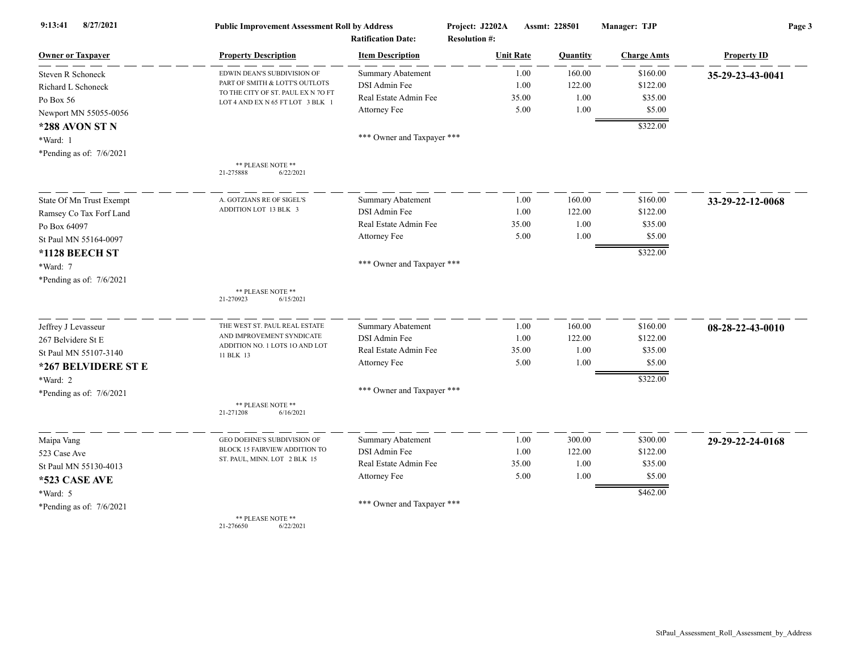| 8/27/2021<br>9:13:41       | <b>Public Improvement Assessment Roll by Address</b>                   |                                                      | Project: J2202A                          | Assmt: 228501 | Manager: TJP         | Page 3             |  |
|----------------------------|------------------------------------------------------------------------|------------------------------------------------------|------------------------------------------|---------------|----------------------|--------------------|--|
| <b>Owner or Taxpayer</b>   | <b>Property Description</b>                                            | <b>Ratification Date:</b><br><b>Item Description</b> | <b>Resolution #:</b><br><b>Unit Rate</b> | Quantity      | <b>Charge Amts</b>   | <b>Property ID</b> |  |
| Steven R Schoneck          | EDWIN DEAN'S SUBDIVISION OF                                            | <b>Summary Abatement</b>                             | 1.00                                     | 160.00        | \$160.00             | 35-29-23-43-0041   |  |
| Richard L Schoneck         | PART OF SMITH & LOTT'S OUTLOTS                                         | DSI Admin Fee                                        | 1.00                                     | 122.00        | \$122.00             |                    |  |
| Po Box 56                  | TO THE CITY OF ST. PAUL EX N 70 FT<br>LOT 4 AND EX N 65 FT LOT 3 BLK 1 | Real Estate Admin Fee                                | 35.00                                    | 1.00          | \$35.00              |                    |  |
| Newport MN 55055-0056      |                                                                        | Attorney Fee                                         | 5.00                                     | 1.00          | \$5.00               |                    |  |
| *288 AVON ST N             |                                                                        |                                                      |                                          |               | \$322.00             |                    |  |
| *Ward: 1                   |                                                                        | *** Owner and Taxpayer ***                           |                                          |               |                      |                    |  |
| *Pending as of: $7/6/2021$ |                                                                        |                                                      |                                          |               |                      |                    |  |
|                            | ** PLEASE NOTE **<br>21-275888<br>6/22/2021                            |                                                      |                                          |               |                      |                    |  |
| State Of Mn Trust Exempt   | A. GOTZIANS RE OF SIGEL'S                                              | <b>Summary Abatement</b>                             | 1.00                                     | 160.00        | \$160.00             | 33-29-22-12-0068   |  |
| Ramsey Co Tax Forf Land    | ADDITION LOT 13 BLK 3                                                  | DSI Admin Fee                                        | 1.00                                     | 122.00        | \$122.00             |                    |  |
| Po Box 64097               |                                                                        | Real Estate Admin Fee                                | 35.00                                    | 1.00          | \$35.00              |                    |  |
| St Paul MN 55164-0097      |                                                                        | Attorney Fee                                         | 5.00                                     | 1.00          | \$5.00               |                    |  |
| *1128 BEECH ST             |                                                                        |                                                      |                                          |               | \$322.00             |                    |  |
| *Ward: 7                   |                                                                        | *** Owner and Taxpayer ***                           |                                          |               |                      |                    |  |
| *Pending as of: $7/6/2021$ |                                                                        |                                                      |                                          |               |                      |                    |  |
|                            | ** PLEASE NOTE **<br>21-270923<br>6/15/2021                            |                                                      |                                          |               |                      |                    |  |
| Jeffrey J Levasseur        | THE WEST ST. PAUL REAL ESTATE                                          | <b>Summary Abatement</b>                             | 1.00                                     | 160.00        | \$160.00             | 08-28-22-43-0010   |  |
| 267 Belvidere St E         | AND IMPROVEMENT SYNDICATE                                              | DSI Admin Fee                                        | 1.00                                     | 122.00        | \$122.00             |                    |  |
| St Paul MN 55107-3140      | ADDITION NO. 1 LOTS 10 AND LOT<br>11 BLK 13                            | Real Estate Admin Fee                                | 35.00                                    | 1.00          | \$35.00              |                    |  |
| *267 BELVIDERE ST E        |                                                                        | Attorney Fee                                         | 5.00                                     | 1.00          | \$5.00               |                    |  |
| *Ward: 2                   |                                                                        |                                                      |                                          |               | \$322.00             |                    |  |
| *Pending as of: 7/6/2021   |                                                                        | *** Owner and Taxpayer ***                           |                                          |               |                      |                    |  |
|                            | ** PLEASE NOTE **<br>21-271208<br>6/16/2021                            |                                                      |                                          |               |                      |                    |  |
| Maipa Vang                 | GEO DOEHNE'S SUBDIVISION OF                                            | Summary Abatement                                    | 1.00                                     | 300.00        | \$300.00             | 29-29-22-24-0168   |  |
| 523 Case Ave               | BLOCK 15 FAIRVIEW ADDITION TO                                          | DSI Admin Fee                                        | 1.00                                     | 122.00        | \$122.00             |                    |  |
| St Paul MN 55130-4013      | ST. PAUL, MINN. LOT 2 BLK 15                                           | Real Estate Admin Fee                                | 35.00                                    | 1.00          | \$35.00              |                    |  |
| *523 CASE AVE              |                                                                        | Attorney Fee                                         | 5.00                                     | 1.00          | \$5.00               |                    |  |
| *Ward: 5                   |                                                                        |                                                      |                                          |               | $\overline{$462.00}$ |                    |  |
| *Pending as of: 7/6/2021   |                                                                        | *** Owner and Taxpayer ***                           |                                          |               |                      |                    |  |
|                            | $**$ DI EACE MOTE $**$                                                 |                                                      |                                          |               |                      |                    |  |

\*\* PLEASE NOTE \*\* 21-276650 6/22/2021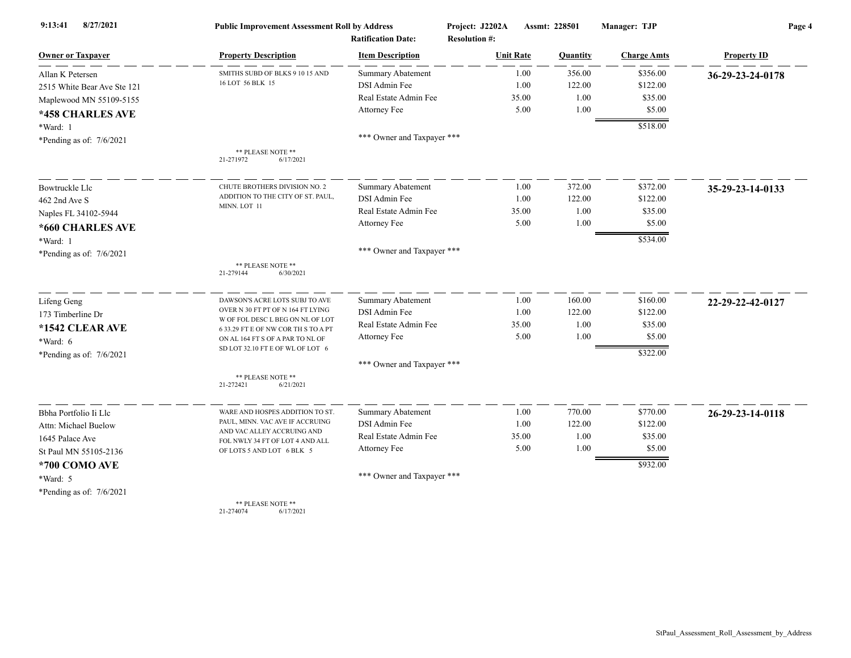| 8/27/2021<br>9:13:41        | <b>Public Improvement Assessment Roll by Address</b><br><b>Ratification Date:</b> |                            | Project: J2202A<br><b>Resolution #:</b> | Assmt: 228501    |                 | Manager: TJP       | Page 4             |  |
|-----------------------------|-----------------------------------------------------------------------------------|----------------------------|-----------------------------------------|------------------|-----------------|--------------------|--------------------|--|
| <b>Owner or Taxpayer</b>    | <b>Property Description</b>                                                       | <b>Item Description</b>    |                                         | <b>Unit Rate</b> | <b>Quantity</b> | <b>Charge Amts</b> | <b>Property ID</b> |  |
| Allan K Petersen            | SMITHS SUBD OF BLKS 9 10 15 AND                                                   | <b>Summary Abatement</b>   |                                         | 1.00             | 356.00          | \$356.00           | 36-29-23-24-0178   |  |
| 2515 White Bear Ave Ste 121 | 16 LOT 56 BLK 15                                                                  | DSI Admin Fee              |                                         | 1.00             | 122.00          | \$122.00           |                    |  |
| Maplewood MN 55109-5155     |                                                                                   | Real Estate Admin Fee      |                                         | 35.00            | 1.00            | \$35.00            |                    |  |
| *458 CHARLES AVE            |                                                                                   | Attorney Fee               |                                         | 5.00             | 1.00            | \$5.00             |                    |  |
| *Ward: 1                    |                                                                                   |                            |                                         |                  |                 | \$518.00           |                    |  |
| *Pending as of: $7/6/2021$  |                                                                                   | *** Owner and Taxpayer *** |                                         |                  |                 |                    |                    |  |
|                             | ** PLEASE NOTE **<br>6/17/2021<br>21-271972                                       |                            |                                         |                  |                 |                    |                    |  |
| Bowtruckle Llc              | CHUTE BROTHERS DIVISION NO. 2                                                     | <b>Summary Abatement</b>   |                                         | 1.00             | 372.00          | \$372.00           | 35-29-23-14-0133   |  |
| 462 2nd Ave S               | ADDITION TO THE CITY OF ST. PAUL,                                                 | DSI Admin Fee              |                                         | 1.00             | 122.00          | \$122.00           |                    |  |
| Naples FL 34102-5944        | MINN. LOT 11                                                                      | Real Estate Admin Fee      |                                         | 35.00            | 1.00            | \$35.00            |                    |  |
| *660 CHARLES AVE            |                                                                                   | Attorney Fee               |                                         | 5.00             | 1.00            | \$5.00             |                    |  |
| *Ward: 1                    |                                                                                   |                            |                                         |                  |                 | \$534.00           |                    |  |
| *Pending as of: 7/6/2021    |                                                                                   | *** Owner and Taxpayer *** |                                         |                  |                 |                    |                    |  |
|                             | ** PLEASE NOTE **<br>21-279144<br>6/30/2021                                       |                            |                                         |                  |                 |                    |                    |  |
| Lifeng Geng                 | DAWSON'S ACRE LOTS SUBJ TO AVE                                                    | <b>Summary Abatement</b>   |                                         | 1.00             | 160.00          | \$160.00           | 22-29-22-42-0127   |  |
| 173 Timberline Dr           | OVER N 30 FT PT OF N 164 FT LYING                                                 | DSI Admin Fee              |                                         | 1.00             | 122.00          | \$122.00           |                    |  |
| *1542 CLEAR AVE             | W OF FOL DESC L BEG ON NL OF LOT<br>6 33.29 FT E OF NW COR TH S TO A PT           | Real Estate Admin Fee      |                                         | 35.00            | 1.00            | \$35.00            |                    |  |
| *Ward: 6                    | ON AL 164 FT S OF A PAR TO NL OF                                                  | Attorney Fee               |                                         | 5.00             | 1.00            | \$5.00             |                    |  |
| *Pending as of: $7/6/2021$  | SD LOT 32.10 FT E OF WL OF LOT 6                                                  |                            |                                         |                  |                 | \$322.00           |                    |  |
|                             |                                                                                   | *** Owner and Taxpayer *** |                                         |                  |                 |                    |                    |  |
|                             | ** PLEASE NOTE **<br>21-272421<br>6/21/2021                                       |                            |                                         |                  |                 |                    |                    |  |
| Bbha Portfolio Ii Llc       | WARE AND HOSPES ADDITION TO ST.                                                   | Summary Abatement          |                                         | 1.00             | 770.00          | \$770.00           | 26-29-23-14-0118   |  |
| Attn: Michael Buelow        | PAUL, MINN. VAC AVE IF ACCRUING                                                   | DSI Admin Fee              |                                         | 1.00             | 122.00          | \$122.00           |                    |  |
| 1645 Palace Ave             | AND VAC ALLEY ACCRUING AND<br>FOL NWLY 34 FT OF LOT 4 AND ALL                     | Real Estate Admin Fee      |                                         | 35.00            | 1.00            | \$35.00            |                    |  |
| St Paul MN 55105-2136       | OF LOTS 5 AND LOT 6 BLK 5                                                         | Attorney Fee               |                                         | 5.00             | 1.00            | \$5.00             |                    |  |
| *700 COMO AVE               |                                                                                   |                            |                                         |                  |                 | \$932.00           |                    |  |
| *Ward: 5                    |                                                                                   | *** Owner and Taxpayer *** |                                         |                  |                 |                    |                    |  |
| *Pending as of: $7/6/2021$  |                                                                                   |                            |                                         |                  |                 |                    |                    |  |
|                             | ** PLEASE NOTE **<br>21-274074<br>6/17/2021                                       |                            |                                         |                  |                 |                    |                    |  |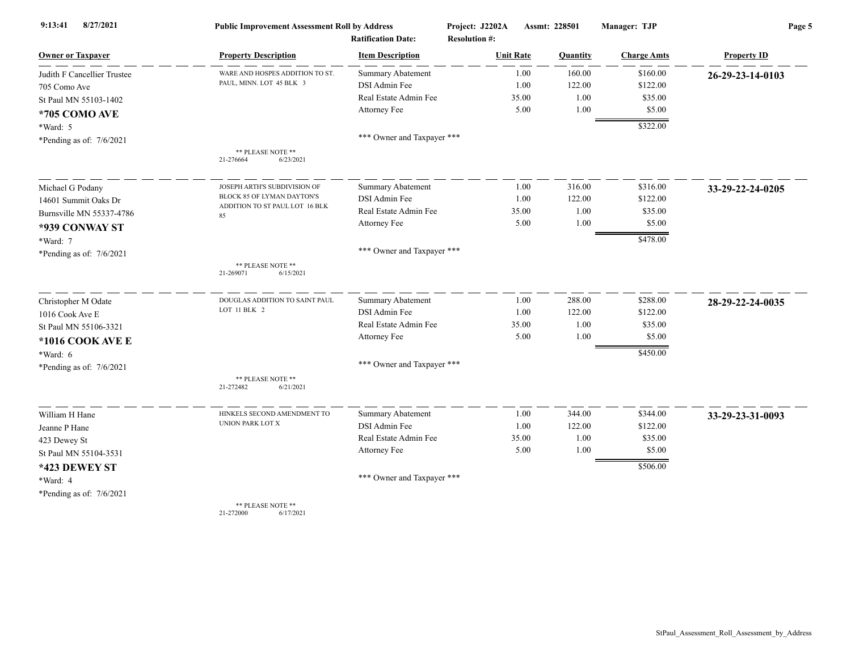| 8/27/2021<br>9:13:41        | <b>Public Improvement Assessment Roll by Address</b><br><b>Ratification Date:</b> |                            | Project: J2202A<br><b>Resolution #:</b> | Assmt: 228501 |          | Manager: TJP       | Page 5             |  |
|-----------------------------|-----------------------------------------------------------------------------------|----------------------------|-----------------------------------------|---------------|----------|--------------------|--------------------|--|
| <b>Owner or Taxpayer</b>    | <b>Property Description</b>                                                       | <b>Item Description</b>    | <b>Unit Rate</b>                        |               | Quantity | <b>Charge Amts</b> | <b>Property ID</b> |  |
| Judith F Cancellier Trustee | WARE AND HOSPES ADDITION TO ST.                                                   | <b>Summary Abatement</b>   |                                         | 1.00          | 160.00   | \$160.00           | 26-29-23-14-0103   |  |
| 705 Como Ave                | PAUL, MINN. LOT 45 BLK 3                                                          | DSI Admin Fee              |                                         | 1.00          | 122.00   | \$122.00           |                    |  |
| St Paul MN 55103-1402       |                                                                                   | Real Estate Admin Fee      | 35.00                                   |               | 1.00     | \$35.00            |                    |  |
| *705 COMO AVE               |                                                                                   | Attorney Fee               |                                         | 5.00          | 1.00     | \$5.00             |                    |  |
| *Ward: 5                    |                                                                                   |                            |                                         |               |          | \$322.00           |                    |  |
| *Pending as of: $7/6/2021$  |                                                                                   | *** Owner and Taxpayer *** |                                         |               |          |                    |                    |  |
|                             | ** PLEASE NOTE **<br>21-276664<br>6/23/2021                                       |                            |                                         |               |          |                    |                    |  |
| Michael G Podany            | JOSEPH ARTH'S SUBDIVISION OF                                                      | <b>Summary Abatement</b>   |                                         | 1.00          | 316.00   | \$316.00           | 33-29-22-24-0205   |  |
| 14601 Summit Oaks Dr        | BLOCK 85 OF LYMAN DAYTON'S                                                        | DSI Admin Fee              |                                         | 1.00          | 122.00   | \$122.00           |                    |  |
| Burnsville MN 55337-4786    | ADDITION TO ST PAUL LOT 16 BLK<br>85                                              | Real Estate Admin Fee      | 35.00                                   |               | 1.00     | \$35.00            |                    |  |
| *939 CONWAY ST              |                                                                                   | Attorney Fee               |                                         | 5.00          | 1.00     | \$5.00             |                    |  |
| $*Ward: 7$                  |                                                                                   |                            |                                         |               |          | \$478.00           |                    |  |
| *Pending as of: $7/6/2021$  |                                                                                   | *** Owner and Taxpayer *** |                                         |               |          |                    |                    |  |
|                             | ** PLEASE NOTE **<br>21-269071<br>6/15/2021                                       |                            |                                         |               |          |                    |                    |  |
| Christopher M Odate         | DOUGLAS ADDITION TO SAINT PAUL                                                    | Summary Abatement          |                                         | 1.00          | 288.00   | \$288.00           | 28-29-22-24-0035   |  |
| 1016 Cook Ave E             | LOT 11 BLK 2                                                                      | DSI Admin Fee              |                                         | 1.00          | 122.00   | \$122.00           |                    |  |
| St Paul MN 55106-3321       |                                                                                   | Real Estate Admin Fee      | 35.00                                   |               | 1.00     | \$35.00            |                    |  |
| *1016 COOK AVE E            |                                                                                   | Attorney Fee               |                                         | 5.00          | 1.00     | \$5.00             |                    |  |
| *Ward: 6                    |                                                                                   |                            |                                         |               |          | \$450.00           |                    |  |
| *Pending as of: 7/6/2021    |                                                                                   | *** Owner and Taxpayer *** |                                         |               |          |                    |                    |  |
|                             | ** PLEASE NOTE **<br>21-272482<br>6/21/2021                                       |                            |                                         |               |          |                    |                    |  |
| William H Hane              | HINKELS SECOND AMENDMENT TO                                                       | <b>Summary Abatement</b>   |                                         | 1.00          | 344.00   | \$344.00           | 33-29-23-31-0093   |  |
| Jeanne P Hane               | UNION PARK LOT X                                                                  | DSI Admin Fee              |                                         | 1.00          | 122.00   | \$122.00           |                    |  |
| 423 Dewey St                |                                                                                   | Real Estate Admin Fee      | 35.00                                   |               | 1.00     | \$35.00            |                    |  |
| St Paul MN 55104-3531       |                                                                                   | <b>Attorney Fee</b>        |                                         | 5.00          | 1.00     | \$5.00             |                    |  |
| *423 DEWEY ST               |                                                                                   |                            |                                         |               |          | \$506.00           |                    |  |
| *Ward: 4                    |                                                                                   | *** Owner and Taxpayer *** |                                         |               |          |                    |                    |  |
| *Pending as of: $7/6/2021$  |                                                                                   |                            |                                         |               |          |                    |                    |  |
|                             | ** PLEASE NOTE **                                                                 |                            |                                         |               |          |                    |                    |  |

21-272000 6/17/2021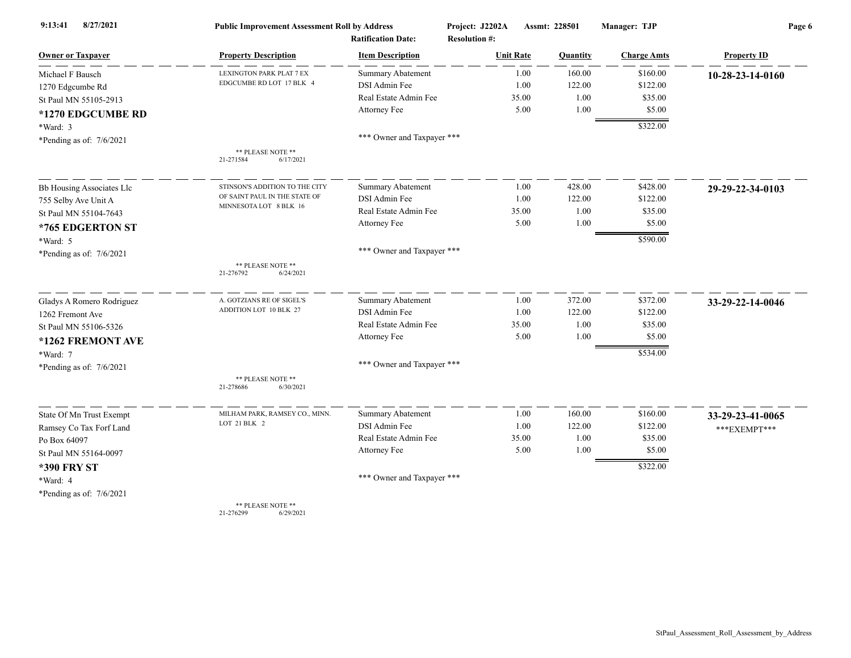| 8/27/2021<br>9:13:41       | <b>Public Improvement Assessment Roll by Address</b> |                            | Project: J2202A      | Assmt: 228501 |          | Manager: TJP       | Page 6             |  |
|----------------------------|------------------------------------------------------|----------------------------|----------------------|---------------|----------|--------------------|--------------------|--|
|                            |                                                      | <b>Ratification Date:</b>  | <b>Resolution #:</b> |               |          |                    |                    |  |
| <b>Owner or Taxpayer</b>   | <b>Property Description</b>                          | <b>Item Description</b>    | <b>Unit Rate</b>     |               | Quantity | <b>Charge Amts</b> | <b>Property ID</b> |  |
| Michael F Bausch           | LEXINGTON PARK PLAT 7 EX                             | <b>Summary Abatement</b>   |                      | 1.00          | 160.00   | \$160.00           | 10-28-23-14-0160   |  |
| 1270 Edgcumbe Rd           | EDGCUMBE RD LOT 17 BLK 4                             | DSI Admin Fee              |                      | 1.00          | 122.00   | \$122.00           |                    |  |
| St Paul MN 55105-2913      |                                                      | Real Estate Admin Fee      |                      | 35.00         | 1.00     | \$35.00            |                    |  |
| *1270 EDGCUMBE RD          |                                                      | Attorney Fee               |                      | 5.00          | 1.00     | \$5.00             |                    |  |
| $*Ward: 3$                 |                                                      |                            |                      |               |          | \$322.00           |                    |  |
| *Pending as of: $7/6/2021$ |                                                      | *** Owner and Taxpayer *** |                      |               |          |                    |                    |  |
|                            | ** PLEASE NOTE **<br>21-271584<br>6/17/2021          |                            |                      |               |          |                    |                    |  |
| Bb Housing Associates Llc  | STINSON'S ADDITION TO THE CITY                       | Summary Abatement          |                      | 1.00          | 428.00   | \$428.00           | 29-29-22-34-0103   |  |
| 755 Selby Ave Unit A       | OF SAINT PAUL IN THE STATE OF                        | DSI Admin Fee              |                      | 1.00          | 122.00   | \$122.00           |                    |  |
| St Paul MN 55104-7643      | MINNESOTA LOT 8 BLK 16                               | Real Estate Admin Fee      |                      | 35.00         | 1.00     | \$35.00            |                    |  |
| *765 EDGERTON ST           |                                                      | Attorney Fee               |                      | 5.00          | 1.00     | \$5.00             |                    |  |
| *Ward: 5                   |                                                      |                            |                      |               |          | \$590.00           |                    |  |
| *Pending as of: $7/6/2021$ |                                                      | *** Owner and Taxpayer *** |                      |               |          |                    |                    |  |
|                            | ** PLEASE NOTE **<br>6/24/2021<br>21-276792          |                            |                      |               |          |                    |                    |  |
| Gladys A Romero Rodriguez  | A. GOTZIANS RE OF SIGEL'S                            | <b>Summary Abatement</b>   |                      | 1.00          | 372.00   | \$372.00           | 33-29-22-14-0046   |  |
| 1262 Fremont Ave           | ADDITION LOT 10 BLK 27                               | DSI Admin Fee              |                      | 1.00          | 122.00   | \$122.00           |                    |  |
| St Paul MN 55106-5326      |                                                      | Real Estate Admin Fee      |                      | 35.00         | 1.00     | \$35.00            |                    |  |
| *1262 FREMONT AVE          |                                                      | Attorney Fee               |                      | 5.00          | 1.00     | \$5.00             |                    |  |
| *Ward: 7                   |                                                      |                            |                      |               |          | \$534.00           |                    |  |
| *Pending as of: $7/6/2021$ |                                                      | *** Owner and Taxpayer *** |                      |               |          |                    |                    |  |
|                            | ** PLEASE NOTE **<br>21-278686<br>6/30/2021          |                            |                      |               |          |                    |                    |  |
| State Of Mn Trust Exempt   | MILHAM PARK, RAMSEY CO., MINN.                       | <b>Summary Abatement</b>   |                      | 1.00          | 160.00   | \$160.00           | 33-29-23-41-0065   |  |
| Ramsey Co Tax Forf Land    | LOT 21 BLK 2                                         | DSI Admin Fee              |                      | 1.00          | 122.00   | \$122.00           | ***EXEMPT***       |  |
| Po Box 64097               |                                                      | Real Estate Admin Fee      |                      | 35.00         | 1.00     | \$35.00            |                    |  |
| St Paul MN 55164-0097      |                                                      | Attorney Fee               |                      | 5.00          | 1.00     | \$5.00             |                    |  |
| <b>*390 FRY ST</b>         |                                                      |                            |                      |               |          | \$322.00           |                    |  |
| *Ward: 4                   |                                                      | *** Owner and Taxpayer *** |                      |               |          |                    |                    |  |
| *Pending as of: $7/6/2021$ |                                                      |                            |                      |               |          |                    |                    |  |
|                            | ** PLEASE NOTE **                                    |                            |                      |               |          |                    |                    |  |

21-276299 6/29/2021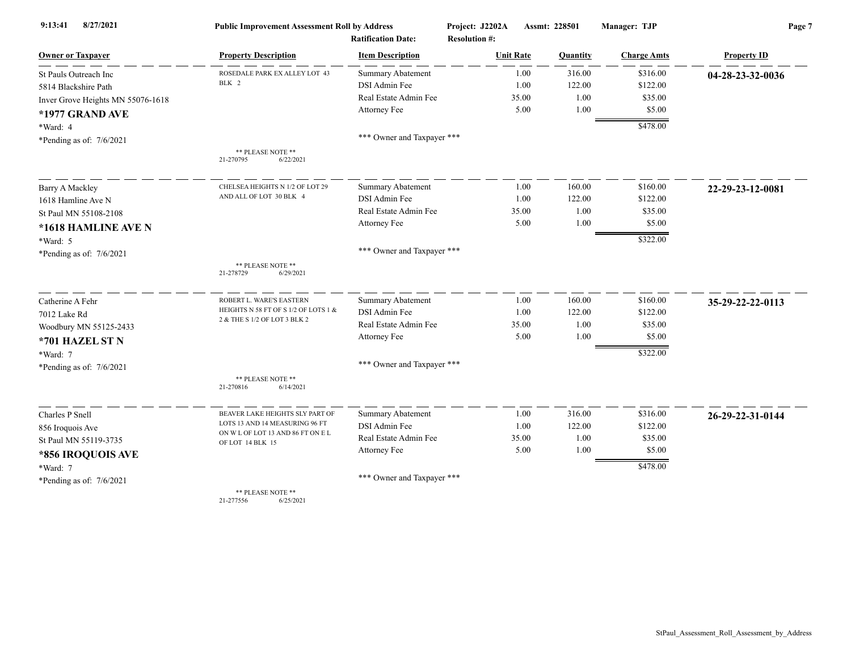| 8/27/2021<br>9:13:41              | <b>Public Improvement Assessment Roll by Address</b>  |                            | Project: J2202A      | Manager: TJP<br>Assmt: 228501 |                    | Page 7             |  |
|-----------------------------------|-------------------------------------------------------|----------------------------|----------------------|-------------------------------|--------------------|--------------------|--|
|                                   |                                                       | <b>Ratification Date:</b>  | <b>Resolution #:</b> |                               |                    |                    |  |
| <b>Owner or Taxpayer</b>          | <b>Property Description</b>                           | <b>Item Description</b>    | <b>Unit Rate</b>     | Quantity                      | <b>Charge Amts</b> | <b>Property ID</b> |  |
| St Pauls Outreach Inc             | ROSEDALE PARK EX ALLEY LOT 43                         | <b>Summary Abatement</b>   | 1.00                 | 316.00                        | \$316.00           | 04-28-23-32-0036   |  |
| 5814 Blackshire Path              | BLK 2                                                 | DSI Admin Fee              | 1.00                 | 122.00                        | \$122.00           |                    |  |
| Inver Grove Heights MN 55076-1618 |                                                       | Real Estate Admin Fee      | 35.00                | 1.00                          | \$35.00            |                    |  |
| *1977 GRAND AVE                   |                                                       | Attorney Fee               | 5.00                 | 1.00                          | \$5.00             |                    |  |
| *Ward: 4                          |                                                       |                            |                      |                               | \$478.00           |                    |  |
| *Pending as of: $7/6/2021$        |                                                       | *** Owner and Taxpayer *** |                      |                               |                    |                    |  |
|                                   | ** PLEASE NOTE **<br>6/22/2021<br>21-270795           |                            |                      |                               |                    |                    |  |
| <b>Barry A Mackley</b>            | CHELSEA HEIGHTS N 1/2 OF LOT 29                       | <b>Summary Abatement</b>   | 1.00                 | 160.00                        | \$160.00           | 22-29-23-12-0081   |  |
| 1618 Hamline Ave N                | AND ALL OF LOT 30 BLK 4                               | DSI Admin Fee              | 1.00                 | 122.00                        | \$122.00           |                    |  |
| St Paul MN 55108-2108             |                                                       | Real Estate Admin Fee      | 35.00                | 1.00                          | \$35.00            |                    |  |
| *1618 HAMLINE AVE N               |                                                       | Attorney Fee               | 5.00                 | 1.00                          | \$5.00             |                    |  |
| *Ward: 5                          |                                                       |                            |                      |                               | \$322.00           |                    |  |
| *Pending as of: $7/6/2021$        |                                                       | *** Owner and Taxpayer *** |                      |                               |                    |                    |  |
|                                   | ** PLEASE NOTE **<br>21-278729<br>6/29/2021           |                            |                      |                               |                    |                    |  |
| Catherine A Fehr                  | ROBERT L. WARE'S EASTERN                              | <b>Summary Abatement</b>   | 1.00                 | 160.00                        | \$160.00           | 35-29-22-22-0113   |  |
| 7012 Lake Rd                      | HEIGHTS N 58 FT OF S 1/2 OF LOTS 1 &                  | DSI Admin Fee              | 1.00                 | 122.00                        | \$122.00           |                    |  |
| Woodbury MN 55125-2433            | 2 & THE S 1/2 OF LOT 3 BLK 2                          | Real Estate Admin Fee      | 35.00                | 1.00                          | \$35.00            |                    |  |
| *701 HAZEL ST N                   |                                                       | Attorney Fee               | 5.00                 | 1.00                          | \$5.00             |                    |  |
| *Ward: 7                          |                                                       |                            |                      |                               | \$322.00           |                    |  |
| *Pending as of: $7/6/2021$        |                                                       | *** Owner and Taxpayer *** |                      |                               |                    |                    |  |
|                                   | ** PLEASE NOTE **<br>6/14/2021<br>21-270816           |                            |                      |                               |                    |                    |  |
| Charles P Snell                   | BEAVER LAKE HEIGHTS SLY PART OF                       | <b>Summary Abatement</b>   | 1.00                 | 316.00                        | \$316.00           | 26-29-22-31-0144   |  |
| 856 Iroquois Ave                  | LOTS 13 AND 14 MEASURING 96 FT                        | DSI Admin Fee              | 1.00                 | 122.00                        | \$122.00           |                    |  |
| St Paul MN 55119-3735             | ON W L OF LOT 13 AND 86 FT ON E L<br>OF LOT 14 BLK 15 | Real Estate Admin Fee      | 35.00                | 1.00                          | \$35.00            |                    |  |
| *856 IROQUOIS AVE                 |                                                       | <b>Attorney Fee</b>        | 5.00                 | 1.00                          | \$5.00             |                    |  |
| *Ward: 7                          |                                                       |                            |                      |                               | \$478.00           |                    |  |
| *Pending as of: $7/6/2021$        |                                                       | *** Owner and Taxpayer *** |                      |                               |                    |                    |  |
|                                   | ** PLEASE NOTE **                                     |                            |                      |                               |                    |                    |  |

21-277556 6/25/2021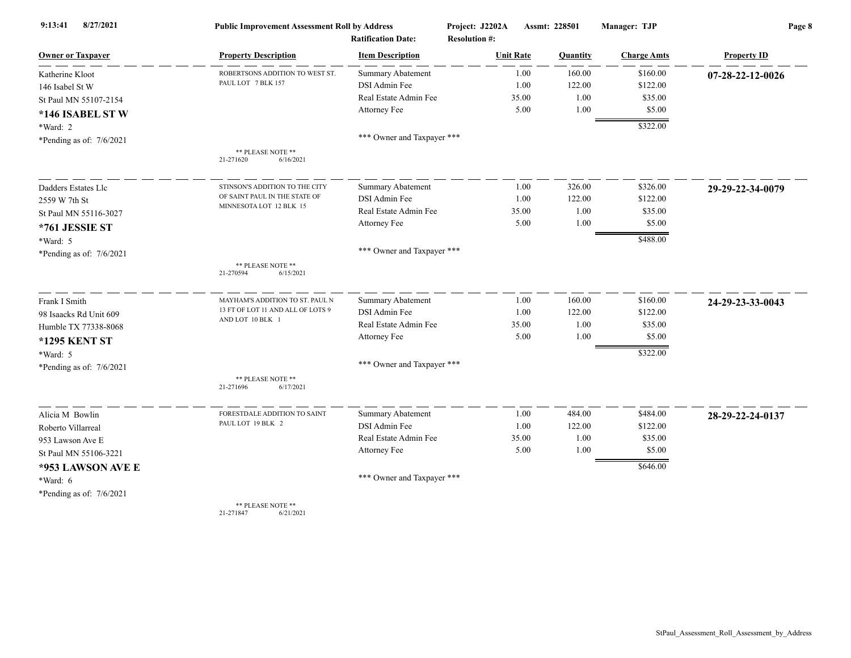| 8/27/2021<br>9:13:41       | <b>Public Improvement Assessment Roll by Address</b> |                                                      | Project: J2202A                          |       | Assmt: 228501 | Manager: TJP       | Page 8             |  |
|----------------------------|------------------------------------------------------|------------------------------------------------------|------------------------------------------|-------|---------------|--------------------|--------------------|--|
| <b>Owner or Taxpayer</b>   | <b>Property Description</b>                          | <b>Ratification Date:</b><br><b>Item Description</b> | <b>Resolution #:</b><br><b>Unit Rate</b> |       | Quantity      | <b>Charge Amts</b> | <b>Property ID</b> |  |
| Katherine Kloot            | ROBERTSONS ADDITION TO WEST ST.                      | <b>Summary Abatement</b>                             |                                          | 1.00  | 160.00        | \$160.00           | 07-28-22-12-0026   |  |
| 146 Isabel St W            | PAUL LOT 7 BLK 157                                   | DSI Admin Fee                                        |                                          | 1.00  | 122.00        | \$122.00           |                    |  |
| St Paul MN 55107-2154      |                                                      | Real Estate Admin Fee                                |                                          | 35.00 | 1.00          | \$35.00            |                    |  |
| *146 ISABEL ST W           |                                                      | Attorney Fee                                         |                                          | 5.00  | 1.00          | \$5.00             |                    |  |
| *Ward: 2                   |                                                      |                                                      |                                          |       |               | \$322.00           |                    |  |
| *Pending as of: $7/6/2021$ |                                                      | *** Owner and Taxpayer ***                           |                                          |       |               |                    |                    |  |
|                            | ** PLEASE NOTE **<br>21-271620<br>6/16/2021          |                                                      |                                          |       |               |                    |                    |  |
| Dadders Estates Llc        | STINSON'S ADDITION TO THE CITY                       | <b>Summary Abatement</b>                             |                                          | 1.00  | 326.00        | \$326.00           | 29-29-22-34-0079   |  |
| 2559 W 7th St              | OF SAINT PAUL IN THE STATE OF                        | DSI Admin Fee                                        |                                          | 1.00  | 122.00        | \$122.00           |                    |  |
| St Paul MN 55116-3027      | MINNESOTA LOT 12 BLK 15                              | Real Estate Admin Fee                                |                                          | 35.00 | 1.00          | \$35.00            |                    |  |
| *761 JESSIE ST             |                                                      | Attorney Fee                                         |                                          | 5.00  | 1.00          | \$5.00             |                    |  |
| *Ward: 5                   |                                                      |                                                      |                                          |       |               | \$488.00           |                    |  |
| *Pending as of: $7/6/2021$ |                                                      | *** Owner and Taxpayer ***                           |                                          |       |               |                    |                    |  |
|                            | ** PLEASE NOTE **<br>6/15/2021<br>21-270594          |                                                      |                                          |       |               |                    |                    |  |
| Frank I Smith              | MAYHAM'S ADDITION TO ST. PAUL N                      | <b>Summary Abatement</b>                             |                                          | 1.00  | 160.00        | \$160.00           | 24-29-23-33-0043   |  |
| 98 Isaacks Rd Unit 609     | 13 FT OF LOT 11 AND ALL OF LOTS 9                    | DSI Admin Fee                                        |                                          | 1.00  | 122.00        | \$122.00           |                    |  |
| Humble TX 77338-8068       | AND LOT 10 BLK 1                                     | Real Estate Admin Fee                                |                                          | 35.00 | 1.00          | \$35.00            |                    |  |
| <b>*1295 KENT ST</b>       |                                                      | <b>Attorney Fee</b>                                  |                                          | 5.00  | 1.00          | \$5.00             |                    |  |
| *Ward: 5                   |                                                      |                                                      |                                          |       |               | \$322.00           |                    |  |
| *Pending as of: 7/6/2021   |                                                      | *** Owner and Taxpayer ***                           |                                          |       |               |                    |                    |  |
|                            | ** PLEASE NOTE **<br>21-271696<br>6/17/2021          |                                                      |                                          |       |               |                    |                    |  |
| Alicia M Bowlin            | FORESTDALE ADDITION TO SAINT                         | <b>Summary Abatement</b>                             |                                          | 1.00  | 484.00        | \$484.00           | 28-29-22-24-0137   |  |
| Roberto Villarreal         | PAUL LOT 19 BLK 2                                    | DSI Admin Fee                                        |                                          | 1.00  | 122.00        | \$122.00           |                    |  |
| 953 Lawson Ave E           |                                                      | Real Estate Admin Fee                                |                                          | 35.00 | 1.00          | \$35.00            |                    |  |
| St Paul MN 55106-3221      |                                                      | Attorney Fee                                         |                                          | 5.00  | 1.00          | \$5.00             |                    |  |
| *953 LAWSON AVE E          |                                                      |                                                      |                                          |       |               | \$646.00           |                    |  |
| *Ward: 6                   |                                                      | *** Owner and Taxpayer ***                           |                                          |       |               |                    |                    |  |
| *Pending as of: $7/6/2021$ |                                                      |                                                      |                                          |       |               |                    |                    |  |
|                            | ** PLEASE NOTE **                                    |                                                      |                                          |       |               |                    |                    |  |

21-271847 6/21/2021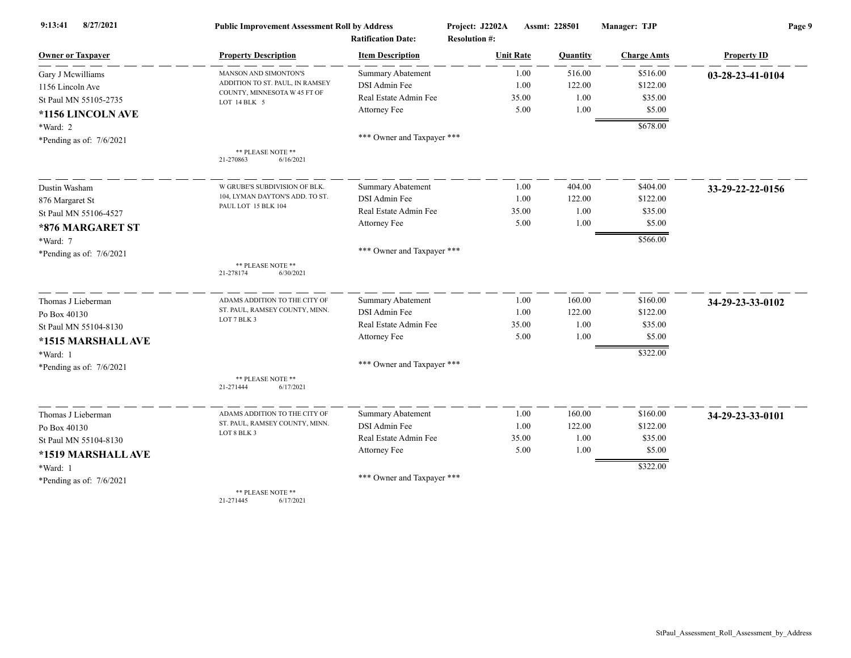| 8/27/2021<br>9:13:41       | <b>Public Improvement Assessment Roll by Address</b> |                            | Project: J2202A      | Assmt: 228501 |          | Manager: TJP       | Page 9             |  |
|----------------------------|------------------------------------------------------|----------------------------|----------------------|---------------|----------|--------------------|--------------------|--|
|                            |                                                      | <b>Ratification Date:</b>  | <b>Resolution #:</b> |               |          |                    |                    |  |
| <b>Owner or Taxpayer</b>   | <b>Property Description</b>                          | <b>Item Description</b>    | <b>Unit Rate</b>     |               | Quantity | <b>Charge Amts</b> | <b>Property ID</b> |  |
| Gary J Mcwilliams          | MANSON AND SIMONTON'S                                | <b>Summary Abatement</b>   |                      | 1.00          | 516.00   | \$516.00           | 03-28-23-41-0104   |  |
| 1156 Lincoln Ave           | ADDITION TO ST. PAUL, IN RAMSEY                      | DSI Admin Fee              |                      | 1.00          | 122.00   | \$122.00           |                    |  |
| St Paul MN 55105-2735      | COUNTY, MINNESOTA W 45 FT OF<br>LOT 14 BLK 5         | Real Estate Admin Fee      |                      | 35.00         | 1.00     | \$35.00            |                    |  |
| *1156 LINCOLN AVE          |                                                      | Attorney Fee               |                      | 5.00          | 1.00     | \$5.00             |                    |  |
| *Ward: 2                   |                                                      |                            |                      |               |          | \$678.00           |                    |  |
| *Pending as of: $7/6/2021$ |                                                      | *** Owner and Taxpayer *** |                      |               |          |                    |                    |  |
|                            | ** PLEASE NOTE **<br>6/16/2021<br>21-270863          |                            |                      |               |          |                    |                    |  |
| Dustin Washam              | W GRUBE'S SUBDIVISION OF BLK.                        | <b>Summary Abatement</b>   |                      | 1.00          | 404.00   | \$404.00           | 33-29-22-22-0156   |  |
| 876 Margaret St            | 104, LYMAN DAYTON'S ADD. TO ST.                      | DSI Admin Fee              |                      | 1.00          | 122.00   | \$122.00           |                    |  |
| St Paul MN 55106-4527      | PAUL LOT 15 BLK 104                                  | Real Estate Admin Fee      |                      | 35.00         | 1.00     | \$35.00            |                    |  |
| *876 MARGARET ST           |                                                      | Attorney Fee               |                      | 5.00          | 1.00     | \$5.00             |                    |  |
| *Ward: 7                   |                                                      |                            |                      |               |          | \$566.00           |                    |  |
| *Pending as of: $7/6/2021$ |                                                      | *** Owner and Taxpayer *** |                      |               |          |                    |                    |  |
|                            | ** PLEASE NOTE **<br>21-278174<br>6/30/2021          |                            |                      |               |          |                    |                    |  |
| Thomas J Lieberman         | ADAMS ADDITION TO THE CITY OF                        | <b>Summary Abatement</b>   |                      | 1.00          | 160.00   | \$160.00           | 34-29-23-33-0102   |  |
| Po Box 40130               | ST. PAUL, RAMSEY COUNTY, MINN.                       | DSI Admin Fee              |                      | 1.00          | 122.00   | \$122.00           |                    |  |
| St Paul MN 55104-8130      | LOT 7 BLK 3                                          | Real Estate Admin Fee      |                      | 35.00         | 1.00     | \$35.00            |                    |  |
| *1515 MARSHALL AVE         |                                                      | Attorney Fee               |                      | 5.00          | 1.00     | \$5.00             |                    |  |
| *Ward: 1                   |                                                      |                            |                      |               |          | \$322.00           |                    |  |
| *Pending as of: 7/6/2021   |                                                      | *** Owner and Taxpayer *** |                      |               |          |                    |                    |  |
|                            | ** PLEASE NOTE **<br>6/17/2021<br>21-271444          |                            |                      |               |          |                    |                    |  |
| Thomas J Lieberman         | ADAMS ADDITION TO THE CITY OF                        | Summary Abatement          |                      | 1.00          | 160.00   | \$160.00           | 34-29-23-33-0101   |  |
| Po Box 40130               | ST. PAUL, RAMSEY COUNTY, MINN.                       | DSI Admin Fee              |                      | 1.00          | 122.00   | \$122.00           |                    |  |
| St Paul MN 55104-8130      | LOT 8 BLK 3                                          | Real Estate Admin Fee      |                      | 35.00         | 1.00     | \$35.00            |                    |  |
| *1519 MARSHALL AVE         |                                                      | Attorney Fee               |                      | 5.00          | 1.00     | \$5.00             |                    |  |
| *Ward: 1                   |                                                      |                            |                      |               |          | \$322.00           |                    |  |
| *Pending as of: 7/6/2021   |                                                      | *** Owner and Taxpayer *** |                      |               |          |                    |                    |  |
|                            | ** PLEASE NOTE **                                    |                            |                      |               |          |                    |                    |  |

21-271445 6/17/2021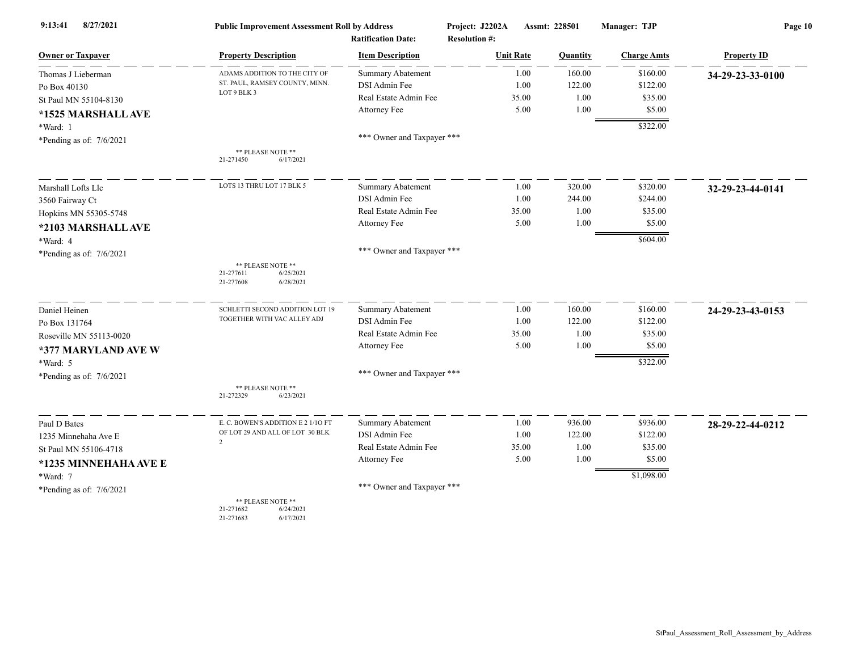| 8/27/2021<br>9:13:41     | <b>Public Improvement Assessment Roll by Address</b><br><b>Ratification Date:</b> |                            | Project: J2202A<br><b>Resolution #:</b> | Assmt: 228501 |          | Manager: TJP       | Page 10            |  |
|--------------------------|-----------------------------------------------------------------------------------|----------------------------|-----------------------------------------|---------------|----------|--------------------|--------------------|--|
| <b>Owner or Taxpayer</b> | <b>Property Description</b>                                                       | <b>Item Description</b>    | <b>Unit Rate</b>                        |               | Quantity | <b>Charge Amts</b> | <b>Property ID</b> |  |
| Thomas J Lieberman       | ADAMS ADDITION TO THE CITY OF                                                     | <b>Summary Abatement</b>   |                                         | 1.00          | 160.00   | \$160.00           | 34-29-23-33-0100   |  |
| Po Box 40130             | ST. PAUL, RAMSEY COUNTY, MINN.                                                    | DSI Admin Fee              |                                         | 1.00          | 122.00   | \$122.00           |                    |  |
| St Paul MN 55104-8130    | LOT 9 BLK 3                                                                       | Real Estate Admin Fee      |                                         | 35.00         | 1.00     | \$35.00            |                    |  |
| *1525 MARSHALL AVE       |                                                                                   | Attorney Fee               |                                         | 5.00          | 1.00     | \$5.00             |                    |  |
| *Ward: 1                 |                                                                                   |                            |                                         |               |          | \$322.00           |                    |  |
| *Pending as of: 7/6/2021 |                                                                                   | *** Owner and Taxpayer *** |                                         |               |          |                    |                    |  |
|                          | ** PLEASE NOTE **<br>6/17/2021<br>21-271450                                       |                            |                                         |               |          |                    |                    |  |
| Marshall Lofts Llc       | LOTS 13 THRU LOT 17 BLK 5                                                         | <b>Summary Abatement</b>   |                                         | 1.00          | 320.00   | \$320.00           | 32-29-23-44-0141   |  |
| 3560 Fairway Ct          |                                                                                   | DSI Admin Fee              |                                         | 1.00          | 244.00   | \$244.00           |                    |  |
| Hopkins MN 55305-5748    |                                                                                   | Real Estate Admin Fee      |                                         | 35.00         | 1.00     | \$35.00            |                    |  |
| *2103 MARSHALL AVE       |                                                                                   | Attorney Fee               |                                         | 5.00          | 1.00     | \$5.00             |                    |  |
| *Ward: 4                 |                                                                                   |                            |                                         |               |          | \$604.00           |                    |  |
| *Pending as of: 7/6/2021 |                                                                                   | *** Owner and Taxpayer *** |                                         |               |          |                    |                    |  |
|                          | ** PLEASE NOTE **<br>6/25/2021<br>21-277611<br>21-277608<br>6/28/2021             |                            |                                         |               |          |                    |                    |  |
| Daniel Heinen            | SCHLETTI SECOND ADDITION LOT 19                                                   | <b>Summary Abatement</b>   |                                         | 1.00          | 160.00   | \$160.00           | 24-29-23-43-0153   |  |
| Po Box 131764            | TOGETHER WITH VAC ALLEY ADJ                                                       | DSI Admin Fee              |                                         | 1.00          | 122.00   | \$122.00           |                    |  |
| Roseville MN 55113-0020  |                                                                                   | Real Estate Admin Fee      |                                         | 35.00         | 1.00     | \$35.00            |                    |  |
| *377 MARYLAND AVE W      |                                                                                   | Attorney Fee               |                                         | 5.00          | 1.00     | \$5.00             |                    |  |
| *Ward: 5                 |                                                                                   |                            |                                         |               |          | \$322.00           |                    |  |
| *Pending as of: 7/6/2021 |                                                                                   | *** Owner and Taxpayer *** |                                         |               |          |                    |                    |  |
|                          | ** PLEASE NOTE **<br>21-272329<br>6/23/2021                                       |                            |                                         |               |          |                    |                    |  |
| Paul D Bates             | E. C. BOWEN'S ADDITION E 2 1/10 FT                                                | <b>Summary Abatement</b>   |                                         | 1.00          | 936.00   | \$936.00           | 28-29-22-44-0212   |  |
| 1235 Minnehaha Ave E     | OF LOT 29 AND ALL OF LOT 30 BLK                                                   | DSI Admin Fee              |                                         | 1.00          | 122.00   | \$122.00           |                    |  |
| St Paul MN 55106-4718    | $\overline{2}$                                                                    | Real Estate Admin Fee      |                                         | 35.00         | 1.00     | \$35.00            |                    |  |
| *1235 MINNEHAHA AVE E    |                                                                                   | Attorney Fee               |                                         | 5.00          | 1.00     | \$5.00             |                    |  |
| *Ward: 7                 |                                                                                   |                            |                                         |               |          | \$1,098.00         |                    |  |
| *Pending as of: 7/6/2021 |                                                                                   | *** Owner and Taxpayer *** |                                         |               |          |                    |                    |  |
|                          | ** PLEASE NOTE **<br>21-271682<br>6/24/2021<br>6/17/2021<br>21-271683             |                            |                                         |               |          |                    |                    |  |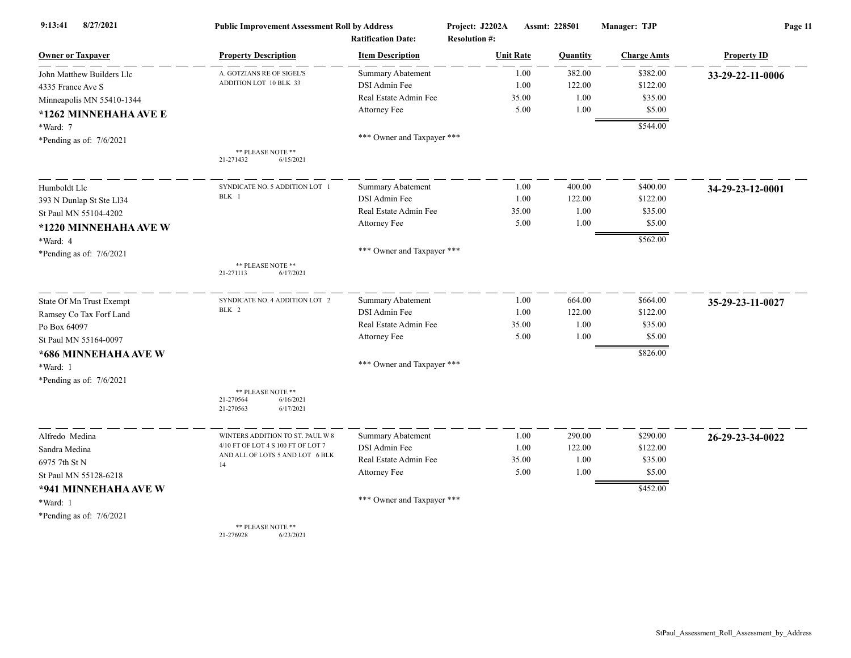| 8/27/2021<br>9:13:41       | <b>Public Improvement Assessment Roll by Address</b><br><b>Ratification Date:</b> |                            | Project: J2202A<br>Assmt: 228501<br><b>Resolution #:</b> |                 | Manager: TJP       | Page 11            |  |
|----------------------------|-----------------------------------------------------------------------------------|----------------------------|----------------------------------------------------------|-----------------|--------------------|--------------------|--|
| <b>Owner or Taxpayer</b>   | <b>Property Description</b>                                                       | <b>Item Description</b>    | <b>Unit Rate</b>                                         | <b>Quantity</b> | <b>Charge Amts</b> | <b>Property ID</b> |  |
| John Matthew Builders Llc  | A. GOTZIANS RE OF SIGEL'S                                                         | <b>Summary Abatement</b>   | 1.00                                                     | 382.00          | \$382.00           | 33-29-22-11-0006   |  |
| 4335 France Ave S          | ADDITION LOT 10 BLK 33                                                            | DSI Admin Fee              | 1.00                                                     | 122.00          | \$122.00           |                    |  |
| Minneapolis MN 55410-1344  |                                                                                   | Real Estate Admin Fee      | 35.00                                                    | 1.00            | \$35.00            |                    |  |
| *1262 MINNEHAHA AVE E      |                                                                                   | Attorney Fee               | 5.00                                                     | 1.00            | \$5.00             |                    |  |
| *Ward: 7                   |                                                                                   |                            |                                                          |                 | \$544.00           |                    |  |
| *Pending as of: $7/6/2021$ |                                                                                   | *** Owner and Taxpayer *** |                                                          |                 |                    |                    |  |
|                            | ** PLEASE NOTE **<br>6/15/2021<br>21-271432                                       |                            |                                                          |                 |                    |                    |  |
| Humboldt Llc               | SYNDICATE NO. 5 ADDITION LOT                                                      | <b>Summary Abatement</b>   |                                                          | 400.00<br>1.00  | \$400.00           | 34-29-23-12-0001   |  |
| 393 N Dunlap St Ste Ll34   | BLK 1                                                                             | DSI Admin Fee              |                                                          | 122.00<br>1.00  | \$122.00           |                    |  |
| St Paul MN 55104-4202      |                                                                                   | Real Estate Admin Fee      | 35.00                                                    | 1.00            | \$35.00            |                    |  |
| *1220 MINNEHAHA AVE W      |                                                                                   | Attorney Fee               |                                                          | 5.00<br>1.00    | \$5.00             |                    |  |
| *Ward: 4                   |                                                                                   |                            |                                                          |                 | \$562.00           |                    |  |
| *Pending as of: $7/6/2021$ |                                                                                   | *** Owner and Taxpayer *** |                                                          |                 |                    |                    |  |
|                            | ** PLEASE NOTE **<br>21-271113<br>6/17/2021                                       |                            |                                                          |                 |                    |                    |  |
| State Of Mn Trust Exempt   | SYNDICATE NO. 4 ADDITION LOT 2                                                    | <b>Summary Abatement</b>   | 1.00                                                     | 664.00          | \$664.00           | 35-29-23-11-0027   |  |
| Ramsey Co Tax Forf Land    | BLK 2                                                                             | DSI Admin Fee              | 1.00                                                     | 122.00          | \$122.00           |                    |  |
| Po Box 64097               |                                                                                   | Real Estate Admin Fee      | 35.00                                                    | 1.00            | \$35.00            |                    |  |
| St Paul MN 55164-0097      |                                                                                   | Attorney Fee               |                                                          | 1.00<br>5.00    | \$5.00             |                    |  |
| *686 MINNEHAHA AVE W       |                                                                                   |                            |                                                          |                 | \$826.00           |                    |  |
| *Ward: 1                   |                                                                                   | *** Owner and Taxpayer *** |                                                          |                 |                    |                    |  |
| *Pending as of: $7/6/2021$ |                                                                                   |                            |                                                          |                 |                    |                    |  |
|                            | ** PLEASE NOTE **                                                                 |                            |                                                          |                 |                    |                    |  |
|                            | 6/16/2021<br>21-270564<br>21-270563<br>6/17/2021                                  |                            |                                                          |                 |                    |                    |  |
| Alfredo Medina             | WINTERS ADDITION TO ST. PAUL W 8                                                  | <b>Summary Abatement</b>   |                                                          | 1.00<br>290.00  | \$290.00           | 26-29-23-34-0022   |  |
| Sandra Medina              | 4/10 FT OF LOT 4 S 100 FT OF LOT 7                                                | DSI Admin Fee              | 1.00                                                     | 122.00          | \$122.00           |                    |  |
| 6975 7th St N              | AND ALL OF LOTS 5 AND LOT 6 BLK<br>14                                             | Real Estate Admin Fee      | 35.00                                                    | 1.00            | \$35.00            |                    |  |
| St Paul MN 55128-6218      |                                                                                   | Attorney Fee               |                                                          | 1.00<br>5.00    | \$5.00             |                    |  |
| *941 MINNEHAHA AVE W       |                                                                                   |                            |                                                          |                 | \$452.00           |                    |  |
| *Ward: 1                   |                                                                                   | *** Owner and Taxpayer *** |                                                          |                 |                    |                    |  |
| *Pending as of: $7/6/2021$ |                                                                                   |                            |                                                          |                 |                    |                    |  |
|                            | ** PLEASE NOTE **<br>21-276928<br>6/23/2021                                       |                            |                                                          |                 |                    |                    |  |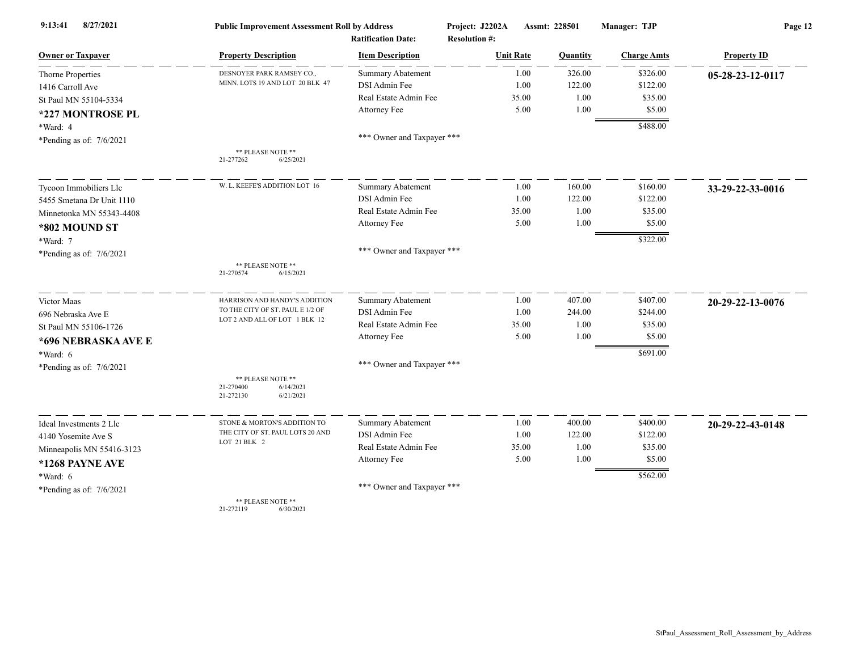| 8/27/2021<br>9:13:41       | <b>Public Improvement Assessment Roll by Address</b>                  |                                                      | Project: J2202A                          | Assmt: 228501 | Manager: TJP       | Page 12            |  |
|----------------------------|-----------------------------------------------------------------------|------------------------------------------------------|------------------------------------------|---------------|--------------------|--------------------|--|
| <b>Owner or Taxpayer</b>   | <b>Property Description</b>                                           | <b>Ratification Date:</b><br><b>Item Description</b> | <b>Resolution #:</b><br><b>Unit Rate</b> | Quantity      | <b>Charge Amts</b> | <b>Property ID</b> |  |
| <b>Thorne Properties</b>   | DESNOYER PARK RAMSEY CO.,                                             | <b>Summary Abatement</b>                             | 1.00                                     | 326.00        | \$326.00           |                    |  |
| 1416 Carroll Ave           | MINN. LOTS 19 AND LOT 20 BLK 47                                       | DSI Admin Fee                                        | 1.00                                     | 122.00        | \$122.00           | 05-28-23-12-0117   |  |
| St Paul MN 55104-5334      |                                                                       | Real Estate Admin Fee                                | 35.00                                    | 1.00          | \$35.00            |                    |  |
|                            |                                                                       | Attorney Fee                                         | 5.00                                     | 1.00          | \$5.00             |                    |  |
| *227 MONTROSE PL           |                                                                       |                                                      |                                          |               | \$488.00           |                    |  |
| *Ward: 4                   |                                                                       | *** Owner and Taxpayer ***                           |                                          |               |                    |                    |  |
| *Pending as of: $7/6/2021$ | ** PLEASE NOTE **                                                     |                                                      |                                          |               |                    |                    |  |
|                            | 21-277262<br>6/25/2021                                                |                                                      |                                          |               |                    |                    |  |
| Tycoon Immobiliers Llc     | W. L. KEEFE'S ADDITION LOT 16                                         | <b>Summary Abatement</b>                             | 1.00                                     | 160.00        | \$160.00           | 33-29-22-33-0016   |  |
| 5455 Smetana Dr Unit 1110  |                                                                       | DSI Admin Fee                                        | 1.00                                     | 122.00        | \$122.00           |                    |  |
| Minnetonka MN 55343-4408   |                                                                       | Real Estate Admin Fee                                | 35.00                                    | 1.00          | \$35.00            |                    |  |
| *802 MOUND ST              |                                                                       | Attorney Fee                                         | 5.00                                     | 1.00          | \$5.00             |                    |  |
| *Ward: 7                   |                                                                       |                                                      |                                          |               | \$322.00           |                    |  |
| *Pending as of: 7/6/2021   |                                                                       | *** Owner and Taxpayer ***                           |                                          |               |                    |                    |  |
|                            | ** PLEASE NOTE **<br>6/15/2021<br>21-270574                           |                                                      |                                          |               |                    |                    |  |
| Victor Maas                | HARRISON AND HANDY'S ADDITION                                         | <b>Summary Abatement</b>                             | 1.00                                     | 407.00        | \$407.00           | 20-29-22-13-0076   |  |
| 696 Nebraska Ave E         | TO THE CITY OF ST. PAUL E 1/2 OF                                      | DSI Admin Fee                                        | 1.00                                     | 244.00        | \$244.00           |                    |  |
| St Paul MN 55106-1726      | LOT 2 AND ALL OF LOT 1 BLK 12                                         | Real Estate Admin Fee                                | 35.00                                    | 1.00          | \$35.00            |                    |  |
| *696 NEBRASKA AVE E        |                                                                       | Attorney Fee                                         | 5.00                                     | 1.00          | \$5.00             |                    |  |
| *Ward: 6                   |                                                                       |                                                      |                                          |               | \$691.00           |                    |  |
| *Pending as of: 7/6/2021   |                                                                       | *** Owner and Taxpayer ***                           |                                          |               |                    |                    |  |
|                            | ** PLEASE NOTE **<br>21-270400<br>6/14/2021<br>21-272130<br>6/21/2021 |                                                      |                                          |               |                    |                    |  |
| Ideal Investments 2 Llc    | STONE & MORTON'S ADDITION TO                                          | <b>Summary Abatement</b>                             | 1.00                                     | 400.00        | \$400.00           | 20-29-22-43-0148   |  |
| 4140 Yosemite Ave S        | THE CITY OF ST. PAUL LOTS 20 AND                                      | DSI Admin Fee                                        | 1.00                                     | 122.00        | \$122.00           |                    |  |
| Minneapolis MN 55416-3123  | LOT 21 BLK 2                                                          | Real Estate Admin Fee                                | 35.00                                    | 1.00          | \$35.00            |                    |  |
| *1268 PAYNE AVE            |                                                                       | Attorney Fee                                         | 5.00                                     | 1.00          | \$5.00             |                    |  |
| *Ward: 6                   |                                                                       |                                                      |                                          |               | \$562.00           |                    |  |
| *Pending as of: 7/6/2021   |                                                                       | *** Owner and Taxpayer ***                           |                                          |               |                    |                    |  |
|                            | ** PLEASE NOTE **<br>21-272119<br>6/30/2021                           |                                                      |                                          |               |                    |                    |  |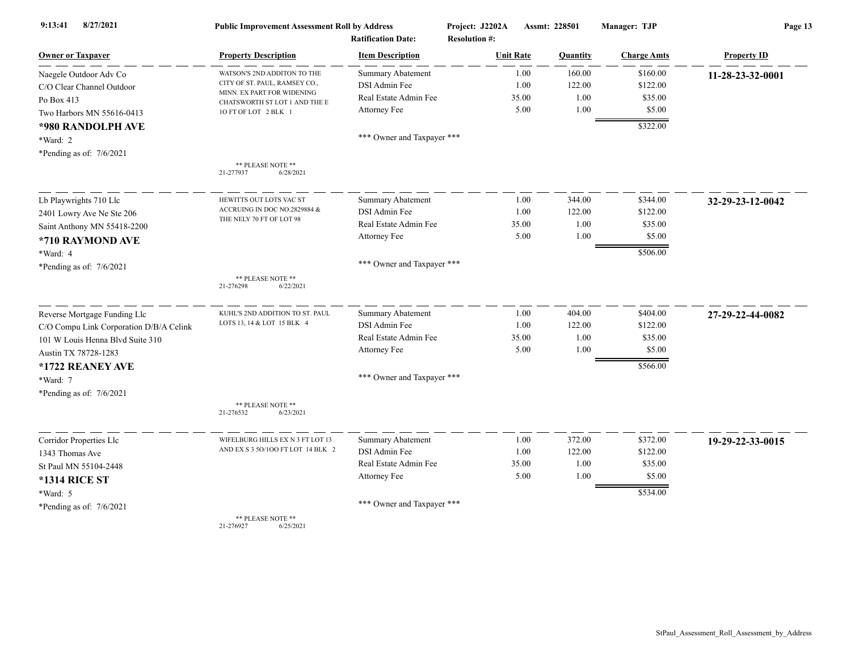| 9:13:41<br>8/27/2021                    | <b>Public Improvement Assessment Roll by Address</b><br><b>Ratification Date:</b> |                            | Project: J2202A<br>Assmt: 228501<br><b>Resolution #:</b> |       |          | Manager: TJP       | Page 13            |  |
|-----------------------------------------|-----------------------------------------------------------------------------------|----------------------------|----------------------------------------------------------|-------|----------|--------------------|--------------------|--|
| <b>Owner or Taxpayer</b>                | <b>Property Description</b>                                                       | <b>Item Description</b>    | <b>Unit Rate</b>                                         |       | Quantity | <b>Charge Amts</b> | <b>Property ID</b> |  |
| Naegele Outdoor Adv Co                  | WATSON'S 2ND ADDITON TO THE                                                       | Summary Abatement          |                                                          | 1.00  | 160.00   | \$160.00           | 11-28-23-32-0001   |  |
| C/O Clear Channel Outdoor               | CITY OF ST. PAUL, RAMSEY CO.,                                                     | DSI Admin Fee              |                                                          | 1.00  | 122.00   | \$122.00           |                    |  |
| Po Box 413                              | MINN. EX PART FOR WIDENING<br>CHATSWORTH ST LOT 1 AND THE E                       | Real Estate Admin Fee      |                                                          | 35.00 | 1.00     | \$35.00            |                    |  |
| Two Harbors MN 55616-0413               | 10 FT OF LOT 2 BLK 1                                                              | Attorney Fee               |                                                          | 5.00  | 1.00     | \$5.00             |                    |  |
| *980 RANDOLPH AVE                       |                                                                                   |                            |                                                          |       |          | \$322.00           |                    |  |
| *Ward: 2                                |                                                                                   | *** Owner and Taxpayer *** |                                                          |       |          |                    |                    |  |
| *Pending as of: $7/6/2021$              |                                                                                   |                            |                                                          |       |          |                    |                    |  |
|                                         | ** PLEASE NOTE **<br>21-277937<br>6/28/2021                                       |                            |                                                          |       |          |                    |                    |  |
| Lb Playwrights 710 Llc                  | <b>HEWITTS OUT LOTS VAC ST</b>                                                    | <b>Summary Abatement</b>   |                                                          | 1.00  | 344.00   | \$344.00           | 32-29-23-12-0042   |  |
| 2401 Lowry Ave Ne Ste 206               | ACCRUING IN DOC NO.2829884 &                                                      | DSI Admin Fee              |                                                          | 1.00  | 122.00   | \$122.00           |                    |  |
| Saint Anthony MN 55418-2200             | THE NELY 70 FT OF LOT 98                                                          | Real Estate Admin Fee      |                                                          | 35.00 | 1.00     | \$35.00            |                    |  |
| *710 RAYMOND AVE                        |                                                                                   | Attorney Fee               |                                                          | 5.00  | 1.00     | \$5.00             |                    |  |
| *Ward: 4                                |                                                                                   |                            |                                                          |       |          | \$506.00           |                    |  |
| *Pending as of: 7/6/2021                |                                                                                   | *** Owner and Taxpayer *** |                                                          |       |          |                    |                    |  |
|                                         | ** PLEASE NOTE **<br>6/22/2021<br>21-276298                                       |                            |                                                          |       |          |                    |                    |  |
| Reverse Mortgage Funding Llc            | KUHL'S 2ND ADDITION TO ST. PAUL                                                   | Summary Abatement          |                                                          | 1.00  | 404.00   | \$404.00           | 27-29-22-44-0082   |  |
| C/O Compu Link Corporation D/B/A Celink | LOTS 13, 14 & LOT 15 BLK 4                                                        | DSI Admin Fee              |                                                          | 1.00  | 122.00   | \$122.00           |                    |  |
| 101 W Louis Henna Blvd Suite 310        |                                                                                   | Real Estate Admin Fee      |                                                          | 35.00 | 1.00     | \$35.00            |                    |  |
| Austin TX 78728-1283                    |                                                                                   | Attorney Fee               |                                                          | 5.00  | 1.00     | \$5.00             |                    |  |
| *1722 REANEY AVE                        |                                                                                   |                            |                                                          |       |          | \$566.00           |                    |  |
| *Ward: 7                                |                                                                                   | *** Owner and Taxpayer *** |                                                          |       |          |                    |                    |  |
| *Pending as of: 7/6/2021                |                                                                                   |                            |                                                          |       |          |                    |                    |  |
|                                         | ** PLEASE NOTE **<br>21-276532<br>6/23/2021                                       |                            |                                                          |       |          |                    |                    |  |
| Corridor Properties Llc                 | WIFELBURG HILLS EX N 3 FT LOT 13                                                  | <b>Summary Abatement</b>   |                                                          | 1.00  | 372.00   | \$372.00           | 19-29-22-33-0015   |  |
| 1343 Thomas Ave                         | AND EX S 3 50/100 FT LOT 14 BLK 2                                                 | DSI Admin Fee              |                                                          | 1.00  | 122.00   | \$122.00           |                    |  |
| St Paul MN 55104-2448                   |                                                                                   | Real Estate Admin Fee      |                                                          | 35.00 | 1.00     | \$35.00            |                    |  |
| <b>*1314 RICE ST</b>                    |                                                                                   | Attorney Fee               |                                                          | 5.00  | 1.00     | \$5.00             |                    |  |
| *Ward: 5                                |                                                                                   |                            |                                                          |       |          | \$534.00           |                    |  |
| *Pending as of: 7/6/2021                |                                                                                   | *** Owner and Taxpayer *** |                                                          |       |          |                    |                    |  |
|                                         | ** PLEASE NOTE **                                                                 |                            |                                                          |       |          |                    |                    |  |

21-276927 6/25/2021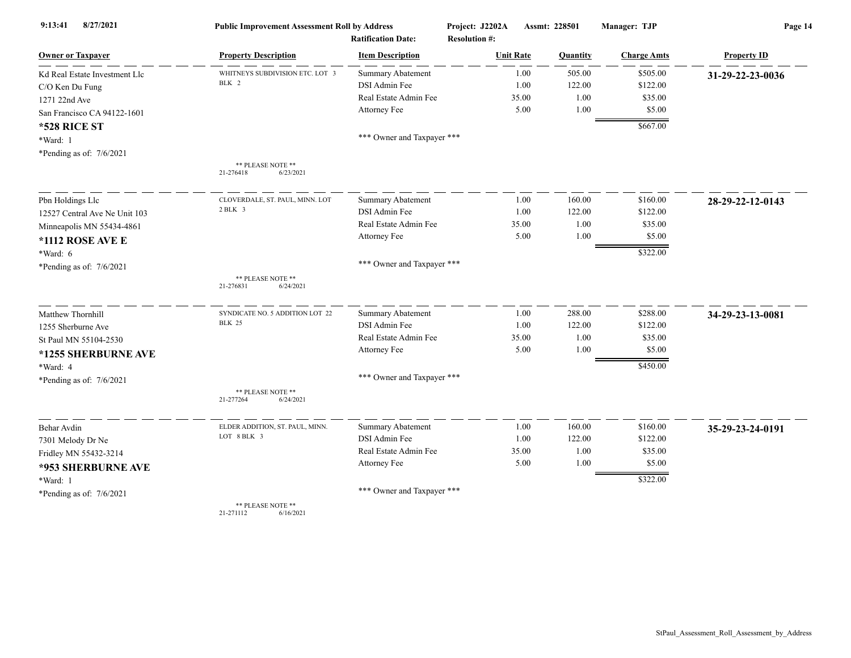| 9:13:41<br>8/27/2021          | <b>Public Improvement Assessment Roll by Address</b><br><b>Ratification Date:</b> |                            | Project: J2202A<br>Assmt: 228501<br><b>Resolution #:</b> |       |          | Manager: TJP       | Page 14            |  |
|-------------------------------|-----------------------------------------------------------------------------------|----------------------------|----------------------------------------------------------|-------|----------|--------------------|--------------------|--|
| <b>Owner or Taxpayer</b>      | <b>Property Description</b>                                                       | <b>Item Description</b>    | <b>Unit Rate</b>                                         |       | Quantity | <b>Charge Amts</b> | <b>Property ID</b> |  |
| Kd Real Estate Investment Llc | WHITNEYS SUBDIVISION ETC. LOT 3                                                   | <b>Summary Abatement</b>   |                                                          | 1.00  | 505.00   | \$505.00           | 31-29-22-23-0036   |  |
| C/O Ken Du Fung               | BLK 2                                                                             | DSI Admin Fee              |                                                          | 1.00  | 122.00   | \$122.00           |                    |  |
| 1271 22nd Ave                 |                                                                                   | Real Estate Admin Fee      |                                                          | 35.00 | 1.00     | \$35.00            |                    |  |
| San Francisco CA 94122-1601   |                                                                                   | Attorney Fee               |                                                          | 5.00  | 1.00     | \$5.00             |                    |  |
| *528 RICE ST                  |                                                                                   |                            |                                                          |       |          | \$667.00           |                    |  |
| *Ward: 1                      |                                                                                   | *** Owner and Taxpayer *** |                                                          |       |          |                    |                    |  |
| *Pending as of: 7/6/2021      |                                                                                   |                            |                                                          |       |          |                    |                    |  |
|                               | ** PLEASE NOTE **<br>21-276418<br>6/23/2021                                       |                            |                                                          |       |          |                    |                    |  |
| Pbn Holdings Llc              | CLOVERDALE, ST. PAUL, MINN. LOT                                                   | Summary Abatement          |                                                          | 1.00  | 160.00   | \$160.00           | 28-29-22-12-0143   |  |
| 12527 Central Ave Ne Unit 103 | $2$ BLK $3$                                                                       | <b>DSI</b> Admin Fee       |                                                          | 1.00  | 122.00   | \$122.00           |                    |  |
| Minneapolis MN 55434-4861     |                                                                                   | Real Estate Admin Fee      |                                                          | 35.00 | 1.00     | \$35.00            |                    |  |
| *1112 ROSE AVE E              |                                                                                   | Attorney Fee               |                                                          | 5.00  | 1.00     | \$5.00             |                    |  |
| *Ward: 6                      |                                                                                   |                            |                                                          |       |          | \$322.00           |                    |  |
| *Pending as of: 7/6/2021      |                                                                                   | *** Owner and Taxpayer *** |                                                          |       |          |                    |                    |  |
|                               | ** PLEASE NOTE **<br>21-276831<br>6/24/2021                                       |                            |                                                          |       |          |                    |                    |  |
| Matthew Thornhill             | SYNDICATE NO. 5 ADDITION LOT 22                                                   | <b>Summary Abatement</b>   |                                                          | 1.00  | 288.00   | \$288.00           | 34-29-23-13-0081   |  |
| 1255 Sherburne Ave            | <b>BLK 25</b>                                                                     | DSI Admin Fee              |                                                          | 1.00  | 122.00   | \$122.00           |                    |  |
| St Paul MN 55104-2530         |                                                                                   | Real Estate Admin Fee      |                                                          | 35.00 | 1.00     | \$35.00            |                    |  |
| *1255 SHERBURNE AVE           |                                                                                   | Attorney Fee               |                                                          | 5.00  | 1.00     | \$5.00             |                    |  |
| *Ward: 4                      |                                                                                   |                            |                                                          |       |          | \$450.00           |                    |  |
| *Pending as of: 7/6/2021      |                                                                                   | *** Owner and Taxpayer *** |                                                          |       |          |                    |                    |  |
|                               | ** PLEASE NOTE **<br>21-277264<br>6/24/2021                                       |                            |                                                          |       |          |                    |                    |  |
| Behar Avdin                   | ELDER ADDITION, ST. PAUL, MINN.                                                   | <b>Summary Abatement</b>   |                                                          | 1.00  | 160.00   | \$160.00           | 35-29-23-24-0191   |  |
| 7301 Melody Dr Ne             | LOT 8 BLK 3                                                                       | DSI Admin Fee              |                                                          | 1.00  | 122.00   | \$122.00           |                    |  |
| Fridley MN 55432-3214         |                                                                                   | Real Estate Admin Fee      |                                                          | 35.00 | 1.00     | \$35.00            |                    |  |
| *953 SHERBURNE AVE            |                                                                                   | Attorney Fee               |                                                          | 5.00  | 1.00     | \$5.00             |                    |  |
| *Ward: 1                      |                                                                                   |                            |                                                          |       |          | \$322.00           |                    |  |
| *Pending as of: 7/6/2021      |                                                                                   | *** Owner and Taxpayer *** |                                                          |       |          |                    |                    |  |
|                               | ** PLEASE NOTE **<br>21-271112<br>6/16/2021                                       |                            |                                                          |       |          |                    |                    |  |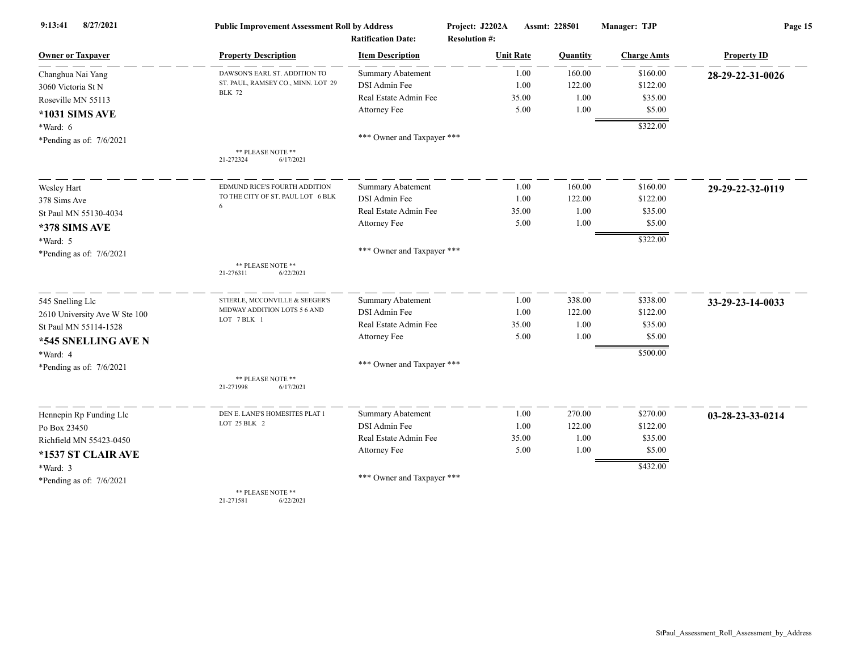| 8/27/2021<br>9:13:41          | <b>Public Improvement Assessment Roll by Address</b>                |                                                      | Project: J2202A                          | Assmt: 228501 | Manager: TJP       | Page 15            |  |
|-------------------------------|---------------------------------------------------------------------|------------------------------------------------------|------------------------------------------|---------------|--------------------|--------------------|--|
| <b>Owner or Taxpayer</b>      | <b>Property Description</b>                                         | <b>Ratification Date:</b><br><b>Item Description</b> | <b>Resolution #:</b><br><b>Unit Rate</b> | Quantity      | <b>Charge Amts</b> | <b>Property ID</b> |  |
|                               |                                                                     | <b>Summary Abatement</b>                             | 1.00                                     | 160.00        | \$160.00           |                    |  |
| Changhua Nai Yang             | DAWSON'S EARL ST. ADDITION TO<br>ST. PAUL, RAMSEY CO., MINN. LOT 29 | DSI Admin Fee                                        | 1.00                                     | 122.00        | \$122.00           | 28-29-22-31-0026   |  |
| 3060 Victoria St N            | <b>BLK 72</b>                                                       | Real Estate Admin Fee                                | 35.00                                    | 1.00          | \$35.00            |                    |  |
| Roseville MN 55113            |                                                                     | Attorney Fee                                         | 5.00                                     | 1.00          | \$5.00             |                    |  |
| *1031 SIMS AVE                |                                                                     |                                                      |                                          |               | \$322.00           |                    |  |
| $*Ward: 6$                    |                                                                     | *** Owner and Taxpayer ***                           |                                          |               |                    |                    |  |
| *Pending as of: $7/6/2021$    | ** PLEASE NOTE **                                                   |                                                      |                                          |               |                    |                    |  |
|                               | 21-272324<br>6/17/2021                                              |                                                      |                                          |               |                    |                    |  |
| Wesley Hart                   | EDMUND RICE'S FOURTH ADDITION                                       | <b>Summary Abatement</b>                             | 1.00                                     | 160.00        | \$160.00           | 29-29-22-32-0119   |  |
| 378 Sims Ave                  | TO THE CITY OF ST. PAUL LOT 6 BLK                                   | DSI Admin Fee                                        | 1.00                                     | 122.00        | \$122.00           |                    |  |
| St Paul MN 55130-4034         | 6                                                                   | Real Estate Admin Fee                                | 35.00                                    | 1.00          | \$35.00            |                    |  |
| *378 SIMS AVE                 |                                                                     | Attorney Fee                                         | 5.00                                     | 1.00          | \$5.00             |                    |  |
| *Ward: 5                      |                                                                     |                                                      |                                          |               | \$322.00           |                    |  |
| *Pending as of: $7/6/2021$    |                                                                     | *** Owner and Taxpayer ***                           |                                          |               |                    |                    |  |
|                               | ** PLEASE NOTE **<br>21-276311<br>6/22/2021                         |                                                      |                                          |               |                    |                    |  |
| 545 Snelling Llc              | STIERLE, MCCONVILLE & SEEGER'S                                      | Summary Abatement                                    | 1.00                                     | 338.00        | \$338.00           | 33-29-23-14-0033   |  |
| 2610 University Ave W Ste 100 | MIDWAY ADDITION LOTS 5 6 AND<br>LOT 7 BLK 1                         | DSI Admin Fee                                        | 1.00                                     | 122.00        | \$122.00           |                    |  |
| St Paul MN 55114-1528         |                                                                     | Real Estate Admin Fee                                | 35.00                                    | 1.00          | \$35.00            |                    |  |
| *545 SNELLING AVE N           |                                                                     | Attorney Fee                                         | 5.00                                     | 1.00          | \$5.00             |                    |  |
| *Ward: 4                      |                                                                     |                                                      |                                          |               | \$500.00           |                    |  |
| *Pending as of: 7/6/2021      |                                                                     | *** Owner and Taxpayer ***                           |                                          |               |                    |                    |  |
|                               | ** PLEASE NOTE **<br>21-271998<br>6/17/2021                         |                                                      |                                          |               |                    |                    |  |
| Hennepin Rp Funding Llc       | DEN E. LANE'S HOMESITES PLAT 1                                      | Summary Abatement                                    | 1.00                                     | 270.00        | \$270.00           | 03-28-23-33-0214   |  |
| Po Box 23450                  | LOT 25 BLK 2                                                        | DSI Admin Fee                                        | 1.00                                     | 122.00        | \$122.00           |                    |  |
| Richfield MN 55423-0450       |                                                                     | Real Estate Admin Fee                                | 35.00                                    | 1.00          | \$35.00            |                    |  |
| *1537 ST CLAIR AVE            |                                                                     | Attorney Fee                                         | 5.00                                     | 1.00          | \$5.00             |                    |  |
| *Ward: 3                      |                                                                     |                                                      |                                          |               | \$432.00           |                    |  |
| *Pending as of: $7/6/2021$    |                                                                     | *** Owner and Taxpayer ***                           |                                          |               |                    |                    |  |
|                               | ** PLEASE NOTE **                                                   |                                                      |                                          |               |                    |                    |  |

21-271581 6/22/2021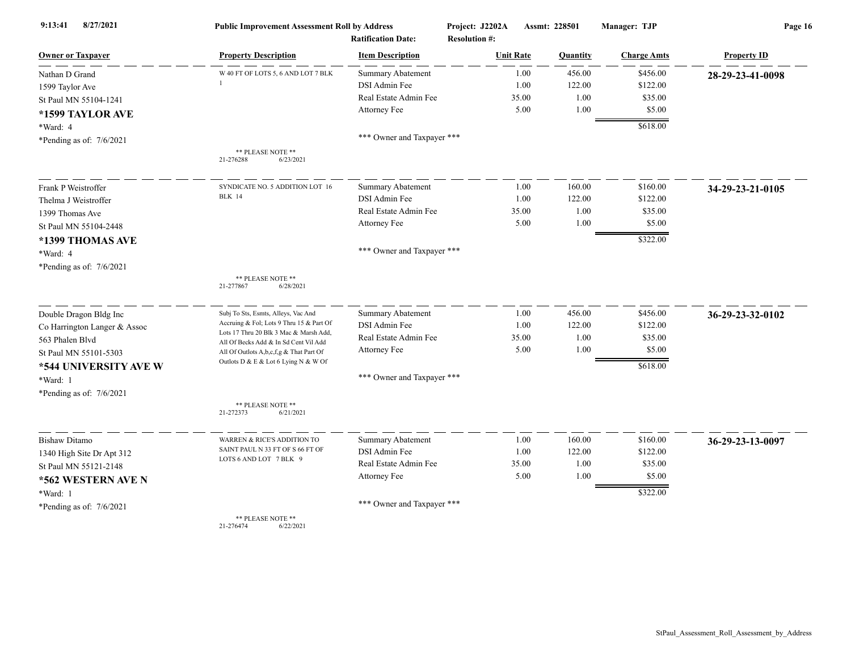| 8/27/2021<br>9:13:41         | <b>Public Improvement Assessment Roll by Address</b><br><b>Ratification Date:</b> |                            | Project: J2202A<br>Assmt: 228501<br><b>Resolution #:</b> |       |          | Manager: TJP       | Page 16            |  |
|------------------------------|-----------------------------------------------------------------------------------|----------------------------|----------------------------------------------------------|-------|----------|--------------------|--------------------|--|
| <b>Owner or Taxpayer</b>     | <b>Property Description</b>                                                       | <b>Item Description</b>    | <b>Unit Rate</b>                                         |       | Quantity | <b>Charge Amts</b> | <b>Property ID</b> |  |
| Nathan D Grand               | W 40 FT OF LOTS 5, 6 AND LOT 7 BLK                                                | <b>Summary Abatement</b>   |                                                          | 1.00  | 456.00   | \$456.00           | 28-29-23-41-0098   |  |
| 1599 Taylor Ave              |                                                                                   | DSI Admin Fee              |                                                          | 1.00  | 122.00   | \$122.00           |                    |  |
| St Paul MN 55104-1241        |                                                                                   | Real Estate Admin Fee      |                                                          | 35.00 | 1.00     | \$35.00            |                    |  |
| *1599 TAYLOR AVE             |                                                                                   | Attorney Fee               |                                                          | 5.00  | 1.00     | \$5.00             |                    |  |
| *Ward: 4                     |                                                                                   |                            |                                                          |       |          | \$618.00           |                    |  |
| *Pending as of: 7/6/2021     |                                                                                   | *** Owner and Taxpayer *** |                                                          |       |          |                    |                    |  |
|                              | ** PLEASE NOTE **<br>21-276288<br>6/23/2021                                       |                            |                                                          |       |          |                    |                    |  |
| Frank P Weistroffer          | SYNDICATE NO. 5 ADDITION LOT 16                                                   | <b>Summary Abatement</b>   |                                                          | 1.00  | 160.00   | \$160.00           | 34-29-23-21-0105   |  |
| Thelma J Weistroffer         | <b>BLK</b> 14                                                                     | DSI Admin Fee              |                                                          | 1.00  | 122.00   | \$122.00           |                    |  |
| 1399 Thomas Ave              |                                                                                   | Real Estate Admin Fee      |                                                          | 35.00 | 1.00     | \$35.00            |                    |  |
| St Paul MN 55104-2448        |                                                                                   | Attorney Fee               |                                                          | 5.00  | 1.00     | \$5.00             |                    |  |
| *1399 THOMAS AVE             |                                                                                   |                            |                                                          |       |          | \$322.00           |                    |  |
| *Ward: 4                     |                                                                                   | *** Owner and Taxpayer *** |                                                          |       |          |                    |                    |  |
| *Pending as of: 7/6/2021     |                                                                                   |                            |                                                          |       |          |                    |                    |  |
|                              | ** PLEASE NOTE **<br>21-277867<br>6/28/2021                                       |                            |                                                          |       |          |                    |                    |  |
| Double Dragon Bldg Inc       | Subj To Sts, Esmts, Alleys, Vac And                                               | Summary Abatement          |                                                          | 1.00  | 456.00   | \$456.00           | 36-29-23-32-0102   |  |
| Co Harrington Langer & Assoc | Accruing & Fol; Lots 9 Thru 15 & Part Of                                          | DSI Admin Fee              |                                                          | 1.00  | 122.00   | \$122.00           |                    |  |
| 563 Phalen Blvd              | Lots 17 Thru 20 Blk 3 Mac & Marsh Add,<br>All Of Becks Add & In Sd Cent Vil Add   | Real Estate Admin Fee      |                                                          | 35.00 | 1.00     | \$35.00            |                    |  |
| St Paul MN 55101-5303        | All Of Outlots A,b,c,f,g & That Part Of                                           | Attorney Fee               |                                                          | 5.00  | 1.00     | \$5.00             |                    |  |
| *544 UNIVERSITY AVE W        | Outlots D & E & Lot 6 Lying N & W Of                                              |                            |                                                          |       |          | \$618.00           |                    |  |
| *Ward: 1                     |                                                                                   | *** Owner and Taxpayer *** |                                                          |       |          |                    |                    |  |
| *Pending as of: 7/6/2021     |                                                                                   |                            |                                                          |       |          |                    |                    |  |
|                              | ** PLEASE NOTE **<br>21-272373<br>6/21/2021                                       |                            |                                                          |       |          |                    |                    |  |
| <b>Bishaw Ditamo</b>         | WARREN & RICE'S ADDITION TO                                                       | Summary Abatement          |                                                          | 1.00  | 160.00   | \$160.00           | 36-29-23-13-0097   |  |
| 1340 High Site Dr Apt 312    | SAINT PAUL N 33 FT OF S 66 FT OF                                                  | DSI Admin Fee              |                                                          | 1.00  | 122.00   | \$122.00           |                    |  |
| St Paul MN 55121-2148        | LOTS 6 AND LOT 7 BLK 9                                                            | Real Estate Admin Fee      |                                                          | 35.00 | 1.00     | \$35.00            |                    |  |
| *562 WESTERN AVE N           |                                                                                   | Attorney Fee               |                                                          | 5.00  | 1.00     | \$5.00             |                    |  |
| *Ward: 1                     |                                                                                   |                            |                                                          |       |          | \$322.00           |                    |  |
| *Pending as of: 7/6/2021     |                                                                                   | *** Owner and Taxpayer *** |                                                          |       |          |                    |                    |  |
|                              | ** PLEASE NOTE **                                                                 |                            |                                                          |       |          |                    |                    |  |

21-276474 6/22/2021